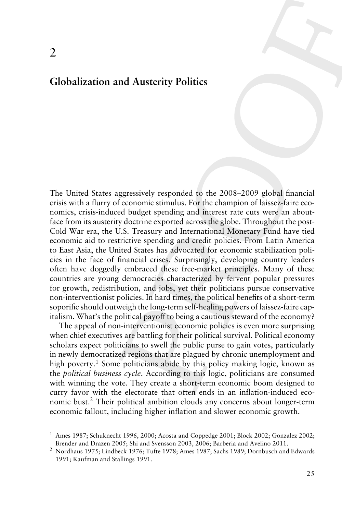# **Globalization and Austerity Politics**

The United States aggressively responded to the 2008–2009 global financial crisis with a flurry of economic stimulus. For the champion of laissez-faire economics, crisis-induced budget spending and interest rate cuts were an aboutface from its austerity doctrine exported across the globe. Throughout the post-Cold War era, the U.S. Treasury and International Monetary Fund have tied economic aid to restrictive spending and credit policies. From Latin America to East Asia, the United States has advocated for economic stabilization policies in the face of financial crises. Surprisingly, developing country leaders often have doggedly embraced these free-market principles. Many of these countries are young democracies characterized by fervent popular pressures for growth, redistribution, and jobs, yet their politicians pursue conservative non-interventionist policies. In hard times, the political benefits of a short-term soporific should outweigh the long-term self-healing powers of laissez-faire capitalism. What's the political payoff to being a cautious steward of the economy?

The appeal of non-interventionist economic policies is even more surprising when chief executives are battling for their political survival. Political economy scholars expect politicians to swell the public purse to gain votes, particularly in newly democratized regions that are plagued by chronic unemployment and high poverty.<sup>1</sup> Some politicians abide by this policy making logic, known as the *political business cycle*. According to this logic, politicians are consumed with winning the vote. They create a short-term economic boom designed to curry favor with the electorate that often ends in an inflation-induced economic bust.2 Their political ambition clouds any concerns about longer-term economic fallout, including higher inflation and slower economic growth.

<sup>1</sup> Ames 1987; Schuknecht 1996, 2000; Acosta and Coppedge 2001; Block 2002; Gonzalez 2002; Brender and Drazen 2005; Shi and Svensson 2003, 2006; Barberia and Avelino 2011.

<sup>2</sup> Nordhaus 1975; Lindbeck 1976; Tufte 1978; Ames 1987; Sachs 1989; Dornbusch and Edwards 1991; Kaufman and Stallings 1991.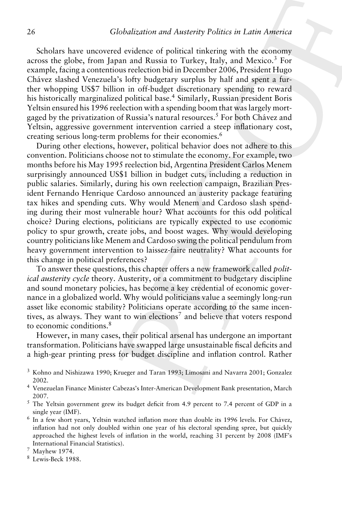Scholars have uncovered evidence of political tinkering with the economy across the globe, from Japan and Russia to Turkey, Italy, and Mexico.<sup>3</sup> For example, facing a contentious reelection bid in December 2006, President Hugo Chavez slashed Venezuela's lofty budgetary surplus by half and spent a fur- ´ ther whopping US\$7 billion in off-budget discretionary spending to reward his historically marginalized political base.<sup>4</sup> Similarly, Russian president Boris Yeltsin ensured his 1996 reelection with a spending boom that was largely mortgaged by the privatization of Russia's natural resources.<sup>5</sup> For both Chávez and Yeltsin, aggressive government intervention carried a steep inflationary cost, creating serious long-term problems for their economies.6

During other elections, however, political behavior does not adhere to this convention. Politicians choose not to stimulate the economy. For example, two months before his May 1995 reelection bid, Argentina President Carlos Menem surprisingly announced US\$1 billion in budget cuts, including a reduction in public salaries. Similarly, during his own reelection campaign, Brazilian President Fernando Henrique Cardoso announced an austerity package featuring tax hikes and spending cuts. Why would Menem and Cardoso slash spending during their most vulnerable hour? What accounts for this odd political choice? During elections, politicians are typically expected to use economic policy to spur growth, create jobs, and boost wages. Why would developing country politicians like Menem and Cardoso swing the political pendulum from heavy government intervention to laissez-faire neutrality? What accounts for this change in political preferences?

To answer these questions, this chapter offers a new framework called *political austerity cycle* theory. Austerity, or a commitment to budgetary discipline and sound monetary policies, has become a key credential of economic governance in a globalized world. Why would politicians value a seemingly long-run asset like economic stability? Politicians operate according to the same incentives, as always. They want to win elections<sup>7</sup> and believe that voters respond to economic conditions.<sup>8</sup>

However, in many cases, their political arsenal has undergone an important transformation. Politicians have swapped large unsustainable fiscal deficits and a high-gear printing press for budget discipline and inflation control. Rather

- <sup>3</sup> Kohno and Nishizawa 1990; Krueger and Taran 1993; Limosani and Navarra 2001; Gonzalez 2002.
- <sup>4</sup> Venezuelan Finance Minister Cabezas's Inter-American Development Bank presentation, March 2007.
- <sup>5</sup> The Yeltsin government grew its budget deficit from 4.9 percent to 7.4 percent of GDP in a single year (IMF).
- $6$  In a few short years, Yeltsin watched inflation more than double its 1996 levels. For Chávez, inflation had not only doubled within one year of his electoral spending spree, but quickly approached the highest levels of inflation in the world, reaching 31 percent by 2008 (IMF's International Financial Statistics).
- <sup>7</sup> Mayhew 1974.
- <sup>8</sup> Lewis-Beck 1988.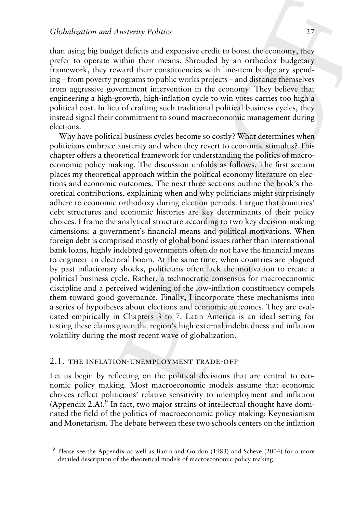than using big budget deficits and expansive credit to boost the economy, they prefer to operate within their means. Shrouded by an orthodox budgetary framework, they reward their constituencies with line-item budgetary spending – from poverty programs to public works projects – and distance themselves from aggressive government intervention in the economy. They believe that engineering a high-growth, high-inflation cycle to win votes carries too high a political cost. In lieu of crafting such traditional political business cycles, they instead signal their commitment to sound macroeconomic management during elections.

Why have political business cycles become so costly? What determines when politicians embrace austerity and when they revert to economic stimulus? This chapter offers a theoretical framework for understanding the politics of macroeconomic policy making. The discussion unfolds as follows. The first section places my theoretical approach within the political economy literature on elections and economic outcomes. The next three sections outline the book's theoretical contributions, explaining when and why politicians might surprisingly adhere to economic orthodoxy during election periods. I argue that countries' debt structures and economic histories are key determinants of their policy choices. I frame the analytical structure according to two key decision-making dimensions: a government's financial means and political motivations. When foreign debt is comprised mostly of global bond issues rather than international bank loans, highly indebted governments often do not have the financial means to engineer an electoral boom. At the same time, when countries are plagued by past inflationary shocks, politicians often lack the motivation to create a political business cycle. Rather, a technocratic consensus for macroeconomic discipline and a perceived widening of the low-inflation constituency compels them toward good governance. Finally, I incorporate these mechanisms into a series of hypotheses about elections and economic outcomes. They are evaluated empirically in Chapters 3 to 7. Latin America is an ideal setting for testing these claims given the region's high external indebtedness and inflation volatility during the most recent wave of globalization.

## 2.1. the inflation-unemployment trade-off

Let us begin by reflecting on the political decisions that are central to economic policy making. Most macroeconomic models assume that economic choices reflect politicians' relative sensitivity to unemployment and inflation (Appendix 2.A). $9$  In fact, two major strains of intellectual thought have dominated the field of the politics of macroeconomic policy making: Keynesianism and Monetarism. The debate between these two schools centers on the inflation

<sup>9</sup> Please see the Appendix as well as Barro and Gordon (1983) and Scheve (2004) for a more detailed description of the theoretical models of macroeconomic policy making.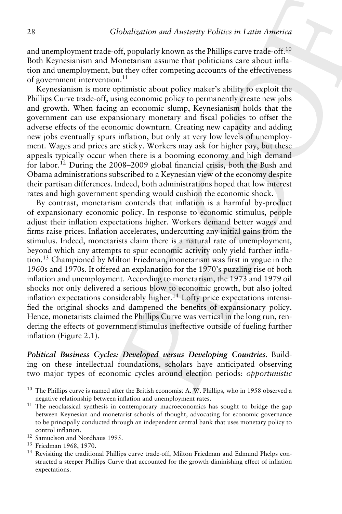and unemployment trade-off, popularly known as the Phillips curve trade-off.<sup>10</sup> Both Keynesianism and Monetarism assume that politicians care about inflation and unemployment, but they offer competing accounts of the effectiveness of government intervention. $11$ 

Keynesianism is more optimistic about policy maker's ability to exploit the Phillips Curve trade-off, using economic policy to permanently create new jobs and growth. When facing an economic slump, Keynesianism holds that the government can use expansionary monetary and fiscal policies to offset the adverse effects of the economic downturn. Creating new capacity and adding new jobs eventually spurs inflation, but only at very low levels of unemployment. Wages and prices are sticky. Workers may ask for higher pay, but these appeals typically occur when there is a booming economy and high demand for labor.<sup>12</sup> During the 2008–2009 global financial crisis, both the Bush and Obama administrations subscribed to a Keynesian view of the economy despite their partisan differences. Indeed, both administrations hoped that low interest rates and high government spending would cushion the economic shock.

By contrast, monetarism contends that inflation is a harmful by-product of expansionary economic policy. In response to economic stimulus, people adjust their inflation expectations higher. Workers demand better wages and firms raise prices. Inflation accelerates, undercutting any initial gains from the stimulus. Indeed, monetarists claim there is a natural rate of unemployment, beyond which any attempts to spur economic activity only yield further inflation.<sup>13</sup> Championed by Milton Friedman, monetarism was first in vogue in the 1960s and 1970s. It offered an explanation for the 1970's puzzling rise of both inflation and unemployment. According to monetarism, the 1973 and 1979 oil shocks not only delivered a serious blow to economic growth, but also jolted inflation expectations considerably higher.<sup>14</sup> Lofty price expectations intensified the original shocks and dampened the benefits of expansionary policy. Hence, monetarists claimed the Phillips Curve was vertical in the long run, rendering the effects of government stimulus ineffective outside of fueling further inflation (Figure 2.1).

*Political Business Cycles: Developed versus Developing Countries.* Building on these intellectual foundations, scholars have anticipated observing two major types of economic cycles around election periods: *opportunistic*

- <sup>10</sup> The Phillips curve is named after the British economist A. W. Phillips, who in 1958 observed a negative relationship between inflation and unemployment rates.
- <sup>11</sup> The neoclassical synthesis in contemporary macroeconomics has sought to bridge the gap between Keynesian and monetarist schools of thought, advocating for economic governance to be principally conducted through an independent central bank that uses monetary policy to control inflation.
- <sup>12</sup> Samuelson and Nordhaus 1995.
- <sup>13</sup> Friedman 1968, 1970.
- <sup>14</sup> Revisiting the traditional Phillips curve trade-off, Milton Friedman and Edmund Phelps constructed a steeper Phillips Curve that accounted for the growth-diminishing effect of inflation expectations.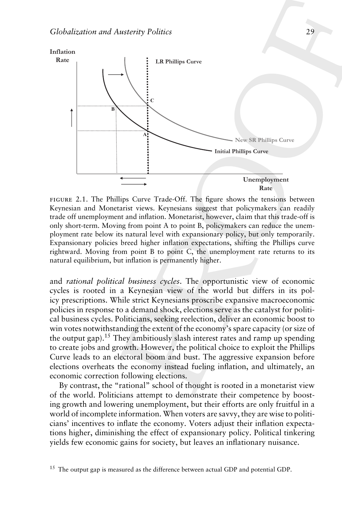

figure 2.1. The Phillips Curve Trade-Off. The figure shows the tensions between Keynesian and Monetarist views. Keynesians suggest that policymakers can readily trade off unemployment and inflation. Monetarist, however, claim that this trade-off is only short-term. Moving from point A to point B, policymakers can reduce the unemployment rate below its natural level with expansionary policy, but only temporarily. Expansionary policies breed higher inflation expectations, shifting the Phillips curve rightward. Moving from point B to point C, the unemployment rate returns to its natural equilibrium, but inflation is permanently higher.

and *rational political business cycles*. The opportunistic view of economic cycles is rooted in a Keynesian view of the world but differs in its policy prescriptions. While strict Keynesians proscribe expansive macroeconomic policies in response to a demand shock, elections serve as the catalyst for political business cycles. Politicians, seeking reelection, deliver an economic boost to win votes notwithstanding the extent of the economy's spare capacity (or size of the output gap).<sup>15</sup> They ambitiously slash interest rates and ramp up spending to create jobs and growth. However, the political choice to exploit the Phillips Curve leads to an electoral boom and bust. The aggressive expansion before elections overheats the economy instead fueling inflation, and ultimately, an economic correction following elections.

By contrast, the "rational" school of thought is rooted in a monetarist view of the world. Politicians attempt to demonstrate their competence by boosting growth and lowering unemployment, but their efforts are only fruitful in a world of incomplete information. When voters are savvy, they are wise to politicians' incentives to inflate the economy. Voters adjust their inflation expectations higher, diminishing the effect of expansionary policy. Political tinkering yields few economic gains for society, but leaves an inflationary nuisance.

<sup>&</sup>lt;sup>15</sup> The output gap is measured as the difference between actual GDP and potential GDP.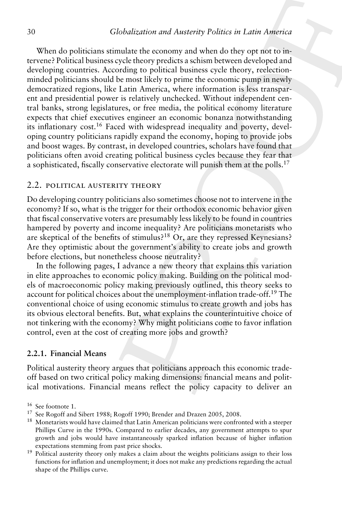When do politicians stimulate the economy and when do they opt not to intervene? Political business cycle theory predicts a schism between developed and developing countries. According to political business cycle theory, reelectionminded politicians should be most likely to prime the economic pump in newly democratized regions, like Latin America, where information is less transparent and presidential power is relatively unchecked. Without independent central banks, strong legislatures, or free media, the political economy literature expects that chief executives engineer an economic bonanza notwithstanding its inflationary cost.<sup>16</sup> Faced with widespread inequality and poverty, developing country politicians rapidly expand the economy, hoping to provide jobs and boost wages. By contrast, in developed countries, scholars have found that politicians often avoid creating political business cycles because they fear that a sophisticated, fiscally conservative electorate will punish them at the polls.<sup>17</sup>

#### 2.2. political austerity theory

Do developing country politicians also sometimes choose not to intervene in the economy? If so, what is the trigger for their orthodox economic behavior given that fiscal conservative voters are presumably less likely to be found in countries hampered by poverty and income inequality? Are politicians monetarists who are skeptical of the benefits of stimulus?18 Or, are they repressed Keynesians? Are they optimistic about the government's ability to create jobs and growth before elections, but nonetheless choose neutrality?

In the following pages, I advance a new theory that explains this variation in elite approaches to economic policy making. Building on the political models of macroeconomic policy making previously outlined, this theory seeks to account for political choices about the unemployment-inflation trade-off.<sup>19</sup> The conventional choice of using economic stimulus to create growth and jobs has its obvious electoral benefits. But, what explains the counterintuitive choice of not tinkering with the economy? Why might politicians come to favor inflation control, even at the cost of creating more jobs and growth?

# **2.2.1. Financial Means**

Political austerity theory argues that politicians approach this economic tradeoff based on two critical policy making dimensions: financial means and political motivations. Financial means reflect the policy capacity to deliver an

<sup>16</sup> See footnote 1.

<sup>&</sup>lt;sup>17</sup> See Rogoff and Sibert 1988; Rogoff 1990; Brender and Drazen 2005, 2008.

<sup>&</sup>lt;sup>18</sup> Monetarists would have claimed that Latin American politicians were confronted with a steeper Phillips Curve in the 1990s. Compared to earlier decades, any government attempts to spur growth and jobs would have instantaneously sparked inflation because of higher inflation expectations stemming from past price shocks.

 $19$  Political austerity theory only makes a claim about the weights politicians assign to their loss functions for inflation and unemployment; it does not make any predictions regarding the actual shape of the Phillips curve.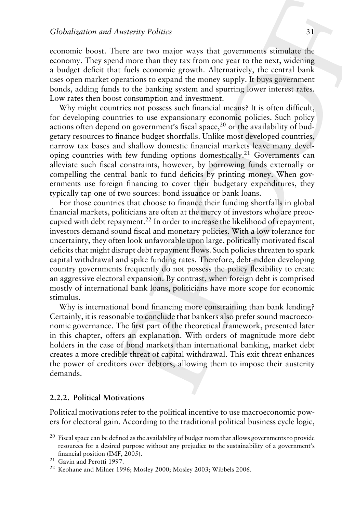economic boost. There are two major ways that governments stimulate the economy. They spend more than they tax from one year to the next, widening a budget deficit that fuels economic growth. Alternatively, the central bank uses open market operations to expand the money supply. It buys government bonds, adding funds to the banking system and spurring lower interest rates. Low rates then boost consumption and investment.

Why might countries not possess such financial means? It is often difficult, for developing countries to use expansionary economic policies. Such policy actions often depend on government's fiscal space, $2<sup>0</sup>$  or the availability of budgetary resources to finance budget shortfalls. Unlike most developed countries, narrow tax bases and shallow domestic financial markets leave many developing countries with few funding options domestically.<sup>21</sup> Governments can alleviate such fiscal constraints, however, by borrowing funds externally or compelling the central bank to fund deficits by printing money. When governments use foreign financing to cover their budgetary expenditures, they typically tap one of two sources: bond issuance or bank loans.

For those countries that choose to finance their funding shortfalls in global financial markets, politicians are often at the mercy of investors who are preoccupied with debt repayment.<sup>22</sup> In order to increase the likelihood of repayment, investors demand sound fiscal and monetary policies. With a low tolerance for uncertainty, they often look unfavorable upon large, politically motivated fiscal deficits that might disrupt debt repayment flows. Such policies threaten to spark capital withdrawal and spike funding rates. Therefore, debt-ridden developing country governments frequently do not possess the policy flexibility to create an aggressive electoral expansion. By contrast, when foreign debt is comprised mostly of international bank loans, politicians have more scope for economic stimulus.

Why is international bond financing more constraining than bank lending? Certainly, it is reasonable to conclude that bankers also prefer sound macroeconomic governance. The first part of the theoretical framework, presented later in this chapter, offers an explanation. With orders of magnitude more debt holders in the case of bond markets than international banking, market debt creates a more credible threat of capital withdrawal. This exit threat enhances the power of creditors over debtors, allowing them to impose their austerity demands.

#### **2.2.2. Political Motivations**

Political motivations refer to the political incentive to use macroeconomic powers for electoral gain. According to the traditional political business cycle logic,

 $20$  Fiscal space can be defined as the availability of budget room that allows governments to provide resources for a desired purpose without any prejudice to the sustainability of a government's financial position (IMF, 2005).

<sup>&</sup>lt;sup>21</sup> Gavin and Perotti 1997.

<sup>22</sup> Keohane and Milner 1996; Mosley 2000; Mosley 2003; Wibbels 2006.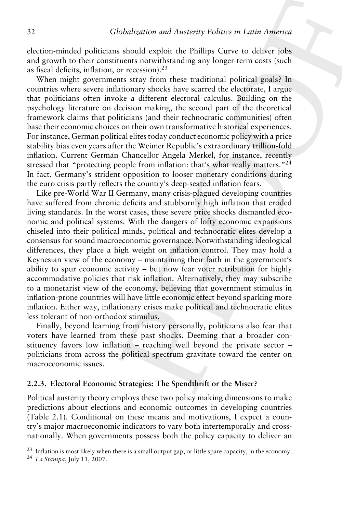election-minded politicians should exploit the Phillips Curve to deliver jobs and growth to their constituents notwithstanding any longer-term costs (such as fiscal deficits, inflation, or recession).<sup>23</sup>

When might governments stray from these traditional political goals? In countries where severe inflationary shocks have scarred the electorate, I argue that politicians often invoke a different electoral calculus. Building on the psychology literature on decision making, the second part of the theoretical framework claims that politicians (and their technocratic communities) often base their economic choices on their own transformative historical experiences. For instance, German political elites today conduct economic policy with a price stability bias even years after the Weimer Republic's extraordinary trillion-fold inflation. Current German Chancellor Angela Merkel, for instance, recently stressed that "protecting people from inflation: that's what really matters."<sup>24</sup> In fact, Germany's strident opposition to looser monetary conditions during the euro crisis partly reflects the country's deep-seated inflation fears.

Like pre-World War II Germany, many crisis-plagued developing countries have suffered from chronic deficits and stubbornly high inflation that eroded living standards. In the worst cases, these severe price shocks dismantled economic and political systems. With the dangers of lofty economic expansions chiseled into their political minds, political and technocratic elites develop a consensus for sound macroeconomic governance. Notwithstanding ideological differences, they place a high weight on inflation control. They may hold a Keynesian view of the economy – maintaining their faith in the government's ability to spur economic activity – but now fear voter retribution for highly accommodative policies that risk inflation. Alternatively, they may subscribe to a monetarist view of the economy, believing that government stimulus in inflation-prone countries will have little economic effect beyond sparking more inflation. Either way, inflationary crises make political and technocratic elites less tolerant of non-orthodox stimulus.

Finally, beyond learning from history personally, politicians also fear that voters have learned from these past shocks. Deeming that a broader constituency favors low inflation – reaching well beyond the private sector – politicians from across the political spectrum gravitate toward the center on macroeconomic issues.

# **2.2.3. Electoral Economic Strategies: The Spendthrift or the Miser?**

Political austerity theory employs these two policy making dimensions to make predictions about elections and economic outcomes in developing countries (Table 2.1). Conditional on these means and motivations, I expect a country's major macroeconomic indicators to vary both intertemporally and crossnationally. When governments possess both the policy capacity to deliver an

 $^{23}$  Inflation is most likely when there is a small output gap, or little spare capacity, in the economy.

<sup>24</sup> *La Stampa*, July 11, 2007.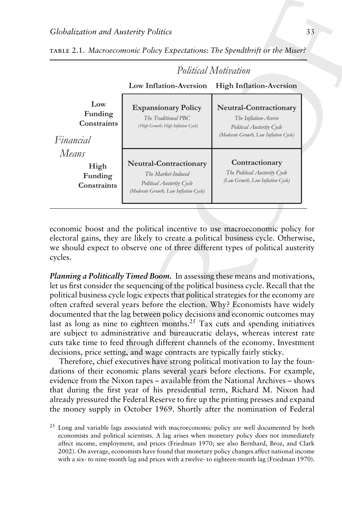|                                            | Political Motivation                                                                                                       |                                                                                                                              |
|--------------------------------------------|----------------------------------------------------------------------------------------------------------------------------|------------------------------------------------------------------------------------------------------------------------------|
|                                            | Low Inflation-Aversion                                                                                                     | <b>High Inflation-Aversion</b>                                                                                               |
| Low<br>Funding<br>Constraints<br>Financial | <b>Expansionary Policy</b><br>The Traditional PBC<br>(High Growth, High Inflation Cycle)                                   | <b>Neutral-Contractionary</b><br>The Inflation-Averse<br>Political Austerity Cycle<br>(Moderate Growth, Low Inflation Cycle) |
| Means<br>High<br>Funding<br>Constraints    | <b>Neutral-Contractionary</b><br>The Market-Induced<br>Political Austerity Cycle<br>(Moderate Growth, Low Inflation Cycle) | Contractionary<br>The Political Austerity Cycle<br>(Low Growth, Low Inflation Cycle)                                         |

table 2.1. *Macroecomonic Policy Expectations: The Spendthrift or the Miser?*

economic boost and the political incentive to use macroeconomic policy for electoral gains, they are likely to create a political business cycle. Otherwise, we should expect to observe one of three different types of political austerity cycles.

*Planning a Politically Timed Boom.* In assessing these means and motivations, let us first consider the sequencing of the political business cycle. Recall that the political business cycle logic expects that political strategies for the economy are often crafted several years before the election. Why? Economists have widely documented that the lag between policy decisions and economic outcomes may last as long as nine to eighteen months.<sup>25</sup> Tax cuts and spending initiatives are subject to administrative and bureaucratic delays, whereas interest rate cuts take time to feed through different channels of the economy. Investment decisions, price setting, and wage contracts are typically fairly sticky.

Therefore, chief executives have strong political motivation to lay the foundations of their economic plans several years before elections. For example, evidence from the Nixon tapes – available from the National Archives – shows that during the first year of his presidential term, Richard M. Nixon had already pressured the Federal Reserve to fire up the printing presses and expand the money supply in October 1969. Shortly after the nomination of Federal

 $25$  Long and variable lags associated with macroeconomic policy are well documented by both economists and political scientists. A lag arises when monetary policy does not immediately affect income, employment, and prices (Friedman 1970; see also Bernhard, Broz, and Clark 2002). On average, economists have found that monetary policy changes affect national income with a six- to nine-month lag and prices with a twelve- to eighteen-month lag (Friedman 1970).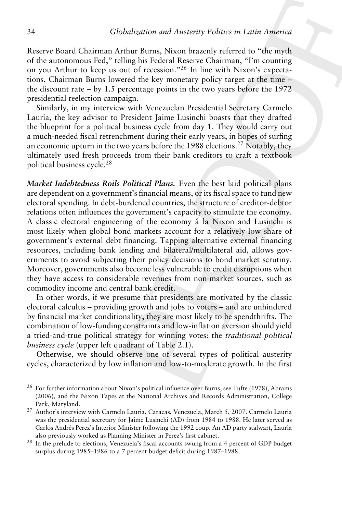Reserve Board Chairman Arthur Burns, Nixon brazenly referred to "the myth of the autonomous Fed," telling his Federal Reserve Chairman, "I'm counting on you Arthur to keep us out of recession."26 In line with Nixon's expectations, Chairman Burns lowered the key monetary policy target at the time – the discount rate – by 1.5 percentage points in the two years before the 1972 presidential reelection campaign.

Similarly, in my interview with Venezuelan Presidential Secretary Carmelo Lauría, the key advisor to President Jaime Lusinchi boasts that they drafted the blueprint for a political business cycle from day 1. They would carry out a much-needed fiscal retrenchment during their early years, in hopes of surfing an economic upturn in the two years before the 1988 elections.<sup>27</sup> Notably, they ultimately used fresh proceeds from their bank creditors to craft a textbook political business cycle.<sup>28</sup>

*Market Indebtedness Roils Political Plans.* Even the best laid political plans are dependent on a government's financial means, or its fiscal space to fund new electoral spending. In debt-burdened countries, the structure of creditor-debtor relations often influences the government's capacity to stimulate the economy. A classic electoral engineering of the economy a la Nixon and Lusinchi is ´ most likely when global bond markets account for a relatively low share of government's external debt financing. Tapping alternative external financing resources, including bank lending and bilateral/multilateral aid, allows governments to avoid subjecting their policy decisions to bond market scrutiny. Moreover, governments also become less vulnerable to credit disruptions when they have access to considerable revenues from non-market sources, such as commodity income and central bank credit.

In other words, if we presume that presidents are motivated by the classic electoral calculus – providing growth and jobs to voters – and are unhindered by financial market conditionality, they are most likely to be spendthrifts. The combination of low-funding constraints and low-inflation aversion should yield a tried-and-true political strategy for winning votes: the *traditional political business cycle* (upper left quadrant of Table 2.1).

Otherwise, we should observe one of several types of political austerity cycles, characterized by low inflation and low-to-moderate growth. In the first

<sup>&</sup>lt;sup>26</sup> For further information about Nixon's political influence over Burns, see Tufte (1978), Abrams (2006), and the Nixon Tapes at the National Archives and Records Administration, College Park, Maryland.

<sup>&</sup>lt;sup>27</sup> Author's interview with Carmelo Lauría, Caracas, Venezuela, March 5, 2007. Carmelo Lauría was the presidential secretary for Jaime Lusinchi (AD) from 1984 to 1988. He later served as Carlos Andrés Perez's Interior Minister following the 1992 coup. An AD party stalwart, Lauría also previously worked as Planning Minister in Perez's first cabinet.

<sup>28</sup> In the prelude to elections, Venezuela's fiscal accounts swung from a 4 percent of GDP budget surplus during 1985–1986 to a 7 percent budget deficit during 1987–1988.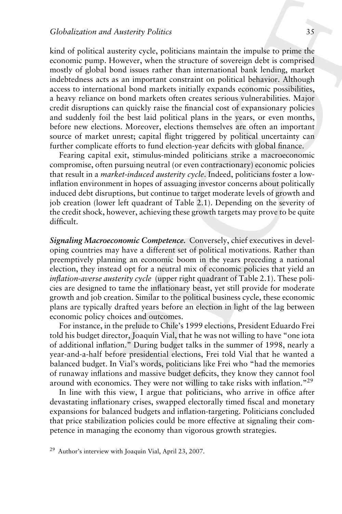kind of political austerity cycle, politicians maintain the impulse to prime the economic pump. However, when the structure of sovereign debt is comprised mostly of global bond issues rather than international bank lending, market indebtedness acts as an important constraint on political behavior. Although access to international bond markets initially expands economic possibilities, a heavy reliance on bond markets often creates serious vulnerabilities. Major credit disruptions can quickly raise the financial cost of expansionary policies and suddenly foil the best laid political plans in the years, or even months, before new elections. Moreover, elections themselves are often an important source of market unrest; capital flight triggered by political uncertainty can further complicate efforts to fund election-year deficits with global finance.

Fearing capital exit, stimulus-minded politicians strike a macroeconomic compromise, often pursuing neutral (or even contractionary) economic policies that result in a *market-induced austerity cycle*. Indeed, politicians foster a lowinflation environment in hopes of assuaging investor concerns about politically induced debt disruptions, but continue to target moderate levels of growth and job creation (lower left quadrant of Table 2.1). Depending on the severity of the credit shock, however, achieving these growth targets may prove to be quite difficult.

*Signaling Macroeconomic Competence.* Conversely, chief executives in developing countries may have a different set of political motivations. Rather than preemptively planning an economic boom in the years preceding a national election, they instead opt for a neutral mix of economic policies that yield an *inflation-averse austerity cycle* (upper right quadrant of Table 2.1). These policies are designed to tame the inflationary beast, yet still provide for moderate growth and job creation. Similar to the political business cycle, these economic plans are typically drafted years before an election in light of the lag between economic policy choices and outcomes.

For instance, in the prelude to Chile's 1999 elections, President Eduardo Frei told his budget director, Joaqu´ın Vial, that he was not willing to have "one iota of additional inflation." During budget talks in the summer of 1998, nearly a year-and-a-half before presidential elections, Frei told Vial that he wanted a balanced budget. In Vial's words, politicians like Frei who "had the memories of runaway inflations and massive budget deficits, they know they cannot fool around with economics. They were not willing to take risks with inflation."29

In line with this view, I argue that politicians, who arrive in office after devastating inflationary crises, swapped electorally timed fiscal and monetary expansions for balanced budgets and inflation-targeting. Politicians concluded that price stabilization policies could be more effective at signaling their competence in managing the economy than vigorous growth strategies.

<sup>&</sup>lt;sup>29</sup> Author's interview with Joaquín Vial, April 23, 2007.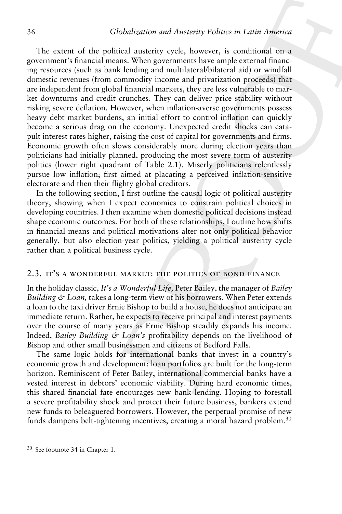The extent of the political austerity cycle, however, is conditional on a government's financial means. When governments have ample external financing resources (such as bank lending and multilateral/bilateral aid) or windfall domestic revenues (from commodity income and privatization proceeds) that are independent from global financial markets, they are less vulnerable to market downturns and credit crunches. They can deliver price stability without risking severe deflation. However, when inflation-averse governments possess heavy debt market burdens, an initial effort to control inflation can quickly become a serious drag on the economy. Unexpected credit shocks can catapult interest rates higher, raising the cost of capital for governments and firms. Economic growth often slows considerably more during election years than politicians had initially planned, producing the most severe form of austerity politics (lower right quadrant of Table 2.1). Miserly politicians relentlessly pursue low inflation; first aimed at placating a perceived inflation-sensitive electorate and then their flighty global creditors.

In the following section, I first outline the causal logic of political austerity theory, showing when I expect economics to constrain political choices in developing countries. I then examine when domestic political decisions instead shape economic outcomes. For both of these relationships, I outline how shifts in financial means and political motivations alter not only political behavior generally, but also election-year politics, yielding a political austerity cycle rather than a political business cycle.

## 2.3. it's a wonderful market: the politics of bond finance

In the holiday classic, *It's a Wonderful Life,* Peter Bailey, the manager of *Bailey Building & Loan,* takes a long-term view of his borrowers. When Peter extends a loan to the taxi driver Ernie Bishop to build a house, he does not anticipate an immediate return. Rather, he expects to receive principal and interest payments over the course of many years as Ernie Bishop steadily expands his income. Indeed, *Bailey Building & Loan's* profitability depends on the livelihood of Bishop and other small businessmen and citizens of Bedford Falls.

The same logic holds for international banks that invest in a country's economic growth and development: loan portfolios are built for the long-term horizon. Reminiscent of Peter Bailey, international commercial banks have a vested interest in debtors' economic viability. During hard economic times, this shared financial fate encourages new bank lending. Hoping to forestall a severe profitability shock and protect their future business, bankers extend new funds to beleaguered borrowers. However, the perpetual promise of new funds dampens belt-tightening incentives, creating a moral hazard problem.<sup>30</sup>

<sup>&</sup>lt;sup>30</sup> See footnote 34 in Chapter 1.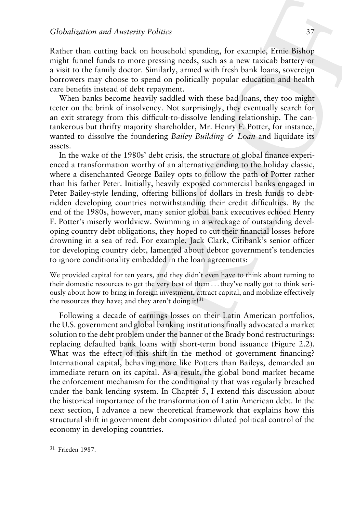Rather than cutting back on household spending, for example, Ernie Bishop might funnel funds to more pressing needs, such as a new taxicab battery or a visit to the family doctor. Similarly, armed with fresh bank loans, sovereign borrowers may choose to spend on politically popular education and health care benefits instead of debt repayment.

When banks become heavily saddled with these bad loans, they too might teeter on the brink of insolvency. Not surprisingly, they eventually search for an exit strategy from this difficult-to-dissolve lending relationship. The cantankerous but thrifty majority shareholder, Mr. Henry F. Potter, for instance, wanted to dissolve the foundering *Bailey Building & Loan* and liquidate its assets.

In the wake of the 1980s' debt crisis, the structure of global finance experienced a transformation worthy of an alternative ending to the holiday classic, where a disenchanted George Bailey opts to follow the path of Potter rather than his father Peter. Initially, heavily exposed commercial banks engaged in Peter Bailey-style lending, offering billions of dollars in fresh funds to debtridden developing countries notwithstanding their credit difficulties. By the end of the 1980s, however, many senior global bank executives echoed Henry F. Potter's miserly worldview. Swimming in a wreckage of outstanding developing country debt obligations, they hoped to cut their financial losses before drowning in a sea of red. For example, Jack Clark, Citibank's senior officer for developing country debt, lamented about debtor government's tendencies to ignore conditionality embedded in the loan agreements:

We provided capital for ten years, and they didn't even have to think about turning to their domestic resources to get the very best of them ... they've really got to think seriously about how to bring in foreign investment, attract capital, and mobilize effectively the resources they have; and they aren't doing it! $31$ 

Following a decade of earnings losses on their Latin American portfolios, the U.S. government and global banking institutions finally advocated a market solution to the debt problem under the banner of the Brady bond restructurings: replacing defaulted bank loans with short-term bond issuance (Figure 2.2). What was the effect of this shift in the method of government financing? International capital, behaving more like Potters than Baileys, demanded an immediate return on its capital. As a result, the global bond market became the enforcement mechanism for the conditionality that was regularly breached under the bank lending system. In Chapter 5, I extend this discussion about the historical importance of the transformation of Latin American debt. In the next section, I advance a new theoretical framework that explains how this structural shift in government debt composition diluted political control of the economy in developing countries.

<sup>31</sup> Frieden 1987.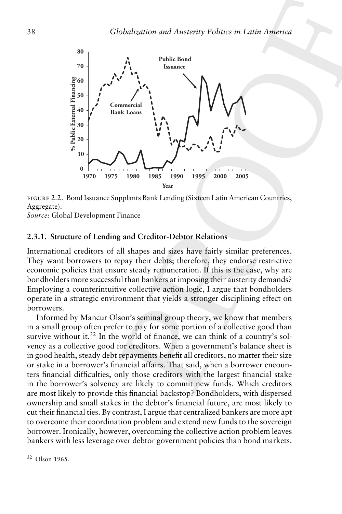

figure 2.2. Bond Issuance Supplants Bank Lending (Sixteen Latin American Countries, Aggregate).

*Source:* Global Development Finance

## **2.3.1. Structure of Lending and Creditor-Debtor Relations**

International creditors of all shapes and sizes have fairly similar preferences. They want borrowers to repay their debts; therefore, they endorse restrictive economic policies that ensure steady remuneration. If this is the case, why are bondholders more successful than bankers at imposing their austerity demands? Employing a counterintuitive collective action logic, I argue that bondholders operate in a strategic environment that yields a stronger disciplining effect on borrowers.

Informed by Mancur Olson's seminal group theory, we know that members in a small group often prefer to pay for some portion of a collective good than survive without it.<sup>32</sup> In the world of finance, we can think of a country's solvency as a collective good for creditors. When a government's balance sheet is in good health, steady debt repayments benefit all creditors, no matter their size or stake in a borrower's financial affairs. That said, when a borrower encounters financial difficulties, only those creditors with the largest financial stake in the borrower's solvency are likely to commit new funds. Which creditors are most likely to provide this financial backstop? Bondholders, with dispersed ownership and small stakes in the debtor's financial future, are most likely to cut their financial ties. By contrast, I argue that centralized bankers are more apt to overcome their coordination problem and extend new funds to the sovereign borrower. Ironically, however, overcoming the collective action problem leaves bankers with less leverage over debtor government policies than bond markets.

<sup>32</sup> Olson 1965.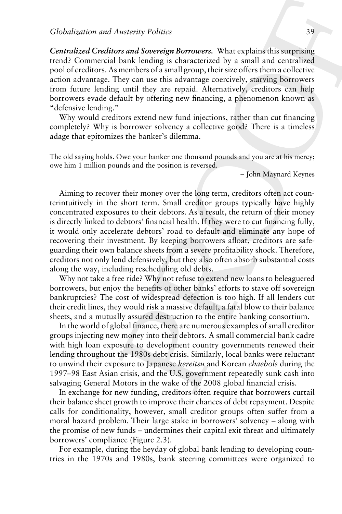*Centralized Creditors and Sovereign Borrowers.* What explains this surprising trend? Commercial bank lending is characterized by a small and centralized pool of creditors. As members of a small group, their size offers them a collective action advantage. They can use this advantage coercively, starving borrowers from future lending until they are repaid. Alternatively, creditors can help borrowers evade default by offering new financing, a phenomenon known as "defensive lending."

Why would creditors extend new fund injections, rather than cut financing completely? Why is borrower solvency a collective good? There is a timeless adage that epitomizes the banker's dilemma.

The old saying holds. Owe your banker one thousand pounds and you are at his mercy; owe him 1 million pounds and the position is reversed.

– John Maynard Keynes

Aiming to recover their money over the long term, creditors often act counterintuitively in the short term. Small creditor groups typically have highly concentrated exposures to their debtors. As a result, the return of their money is directly linked to debtors' financial health. If they were to cut financing fully, it would only accelerate debtors' road to default and eliminate any hope of recovering their investment. By keeping borrowers afloat, creditors are safeguarding their own balance sheets from a severe profitability shock. Therefore, creditors not only lend defensively, but they also often absorb substantial costs along the way, including rescheduling old debts.

Why not take a free ride? Why not refuse to extend new loans to beleaguered borrowers, but enjoy the benefits of other banks' efforts to stave off sovereign bankruptcies? The cost of widespread defection is too high. If all lenders cut their credit lines, they would risk a massive default, a fatal blow to their balance sheets, and a mutually assured destruction to the entire banking consortium.

In the world of global finance, there are numerous examples of small creditor groups injecting new money into their debtors. A small commercial bank cadre with high loan exposure to development country governments renewed their lending throughout the 1980s debt crisis. Similarly, local banks were reluctant to unwind their exposure to Japanese *kereitsu* and Korean *chaebols* during the 1997–98 East Asian crisis, and the U.S. government repeatedly sunk cash into salvaging General Motors in the wake of the 2008 global financial crisis.

In exchange for new funding, creditors often require that borrowers curtail their balance sheet growth to improve their chances of debt repayment. Despite calls for conditionality, however, small creditor groups often suffer from a moral hazard problem. Their large stake in borrowers' solvency – along with the promise of new funds – undermines their capital exit threat and ultimately borrowers' compliance (Figure 2.3).

For example, during the heyday of global bank lending to developing countries in the 1970s and 1980s, bank steering committees were organized to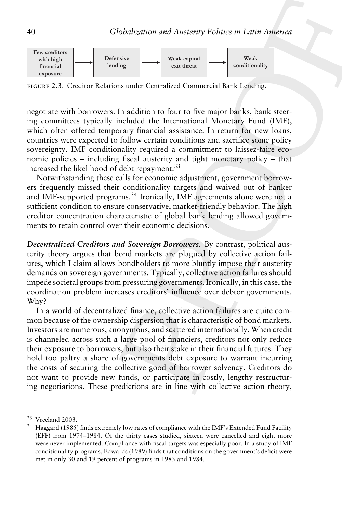

FIGURE 2.3. Creditor Relations under Centralized Commercial Bank Lending.

negotiate with borrowers. In addition to four to five major banks, bank steering committees typically included the International Monetary Fund (IMF), which often offered temporary financial assistance. In return for new loans, countries were expected to follow certain conditions and sacrifice some policy sovereignty. IMF conditionality required a commitment to laissez-faire economic policies – including fiscal austerity and tight monetary policy – that increased the likelihood of debt repayment.<sup>33</sup>

Notwithstanding these calls for economic adjustment, government borrowers frequently missed their conditionality targets and waived out of banker and IMF-supported programs.<sup>34</sup> Ironically, IMF agreements alone were not a sufficient condition to ensure conservative, market-friendly behavior. The high creditor concentration characteristic of global bank lending allowed governments to retain control over their economic decisions.

*Decentralized Creditors and Sovereign Borrowers.* By contrast, political austerity theory argues that bond markets are plagued by collective action failures, which I claim allows bondholders to more bluntly impose their austerity demands on sovereign governments. Typically, collective action failures should impede societal groups from pressuring governments. Ironically, in this case, the coordination problem increases creditors' influence over debtor governments. Why?

In a world of decentralized finance, collective action failures are quite common because of the ownership dispersion that is characteristic of bond markets. Investors are numerous, anonymous, and scattered internationally. When credit is channeled across such a large pool of financiers, creditors not only reduce their exposure to borrowers, but also their stake in their financial futures. They hold too paltry a share of governments debt exposure to warrant incurring the costs of securing the collective good of borrower solvency. Creditors do not want to provide new funds, or participate in costly, lengthy restructuring negotiations. These predictions are in line with collective action theory,

<sup>33</sup> Vreeland 2003.

<sup>&</sup>lt;sup>34</sup> Haggard (1985) finds extremely low rates of compliance with the IMF's Extended Fund Facility (EFF) from 1974–1984. Of the thirty cases studied, sixteen were cancelled and eight more were never implemented. Compliance with fiscal targets was especially poor. In a study of IMF conditionality programs, Edwards (1989) finds that conditions on the government's deficit were met in only 30 and 19 percent of programs in 1983 and 1984.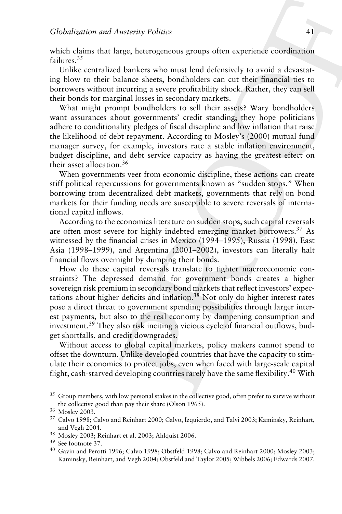which claims that large, heterogeneous groups often experience coordination failures.35

Unlike centralized bankers who must lend defensively to avoid a devastating blow to their balance sheets, bondholders can cut their financial ties to borrowers without incurring a severe profitability shock. Rather, they can sell their bonds for marginal losses in secondary markets.

What might prompt bondholders to sell their assets? Wary bondholders want assurances about governments' credit standing; they hope politicians adhere to conditionality pledges of fiscal discipline and low inflation that raise the likelihood of debt repayment. According to Mosley's (2000) mutual fund manager survey, for example, investors rate a stable inflation environment, budget discipline, and debt service capacity as having the greatest effect on their asset allocation.<sup>36</sup>

When governments veer from economic discipline, these actions can create stiff political repercussions for governments known as "sudden stops." When borrowing from decentralized debt markets, governments that rely on bond markets for their funding needs are susceptible to severe reversals of international capital inflows.

According to the economics literature on sudden stops, such capital reversals are often most severe for highly indebted emerging market borrowers.37 As witnessed by the financial crises in Mexico (1994–1995), Russia (1998), East Asia (1998–1999), and Argentina (2001–2002), investors can literally halt financial flows overnight by dumping their bonds.

How do these capital reversals translate to tighter macroeconomic constraints? The depressed demand for government bonds creates a higher sovereign risk premium in secondary bond markets that reflect investors' expectations about higher deficits and inflation. $38$  Not only do higher interest rates pose a direct threat to government spending possibilities through larger interest payments, but also to the real economy by dampening consumption and investment.<sup>39</sup> They also risk inciting a vicious cycle of financial outflows, budget shortfalls, and credit downgrades.

Without access to global capital markets, policy makers cannot spend to offset the downturn. Unlike developed countries that have the capacity to stimulate their economies to protect jobs, even when faced with large-scale capital flight, cash-starved developing countries rarely have the same flexibility.<sup>40</sup> With

<sup>&</sup>lt;sup>35</sup> Group members, with low personal stakes in the collective good, often prefer to survive without the collective good than pay their share (Olson 1965).

<sup>36</sup> Mosley 2003.

<sup>37</sup> Calvo 1998; Calvo and Reinhart 2000; Calvo, Izquierdo, and Talvi 2003; Kaminsky, Reinhart, and Vegh 2004.

<sup>38</sup> Mosley 2003; Reinhart et al. 2003; Ahlquist 2006.

<sup>39</sup> See footnote 37.

<sup>40</sup> Gavin and Perotti 1996; Calvo 1998; Obstfeld 1998; Calvo and Reinhart 2000; Mosley 2003; Kaminsky, Reinhart, and Vegh 2004; Obstfeld and Taylor 2005; Wibbels 2006; Edwards 2007.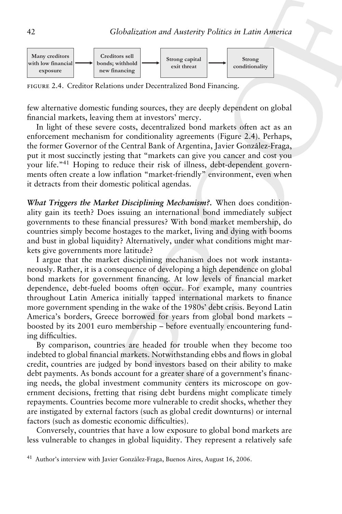

figure 2.4. Creditor Relations under Decentralized Bond Financing.

few alternative domestic funding sources, they are deeply dependent on global financial markets, leaving them at investors' mercy.

In light of these severe costs, decentralized bond markets often act as an enforcement mechanism for conditionality agreements (Figure 2.4). Perhaps, the former Governor of the Central Bank of Argentina, Javier González-Fraga, put it most succinctly jesting that "markets can give you cancer and cost you your life."41 Hoping to reduce their risk of illness, debt-dependent governments often create a low inflation "market-friendly" environment, even when it detracts from their domestic political agendas.

*What Triggers the Market Disciplining Mechanism?.* When does conditionality gain its teeth? Does issuing an international bond immediately subject governments to these financial pressures? With bond market membership, do countries simply become hostages to the market, living and dying with booms and bust in global liquidity? Alternatively, under what conditions might markets give governments more latitude?

I argue that the market disciplining mechanism does not work instantaneously. Rather, it is a consequence of developing a high dependence on global bond markets for government financing. At low levels of financial market dependence, debt-fueled booms often occur. For example, many countries throughout Latin America initially tapped international markets to finance more government spending in the wake of the 1980s' debt crisis. Beyond Latin America's borders, Greece borrowed for years from global bond markets – boosted by its 2001 euro membership – before eventually encountering funding difficulties.

By comparison, countries are headed for trouble when they become too indebted to global financial markets. Notwithstanding ebbs and flows in global credit, countries are judged by bond investors based on their ability to make debt payments. As bonds account for a greater share of a government's financing needs, the global investment community centers its microscope on government decisions, fretting that rising debt burdens might complicate timely repayments. Countries become more vulnerable to credit shocks, whether they are instigated by external factors (such as global credit downturns) or internal factors (such as domestic economic difficulties).

Conversely, countries that have a low exposure to global bond markets are less vulnerable to changes in global liquidity. They represent a relatively safe

<sup>&</sup>lt;sup>41</sup> Author's interview with Javier González-Fraga, Buenos Aires, August 16, 2006.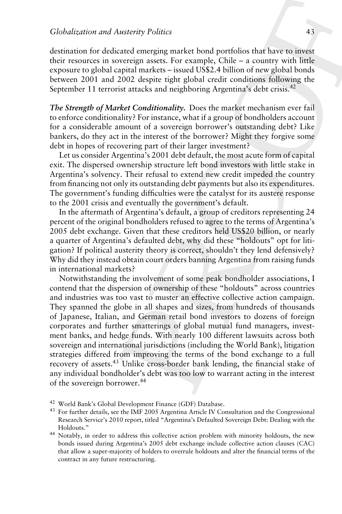destination for dedicated emerging market bond portfolios that have to invest their resources in sovereign assets. For example, Chile – a country with little exposure to global capital markets – issued US\$2.4 billion of new global bonds between 2001 and 2002 despite tight global credit conditions following the September 11 terrorist attacks and neighboring Argentina's debt crisis.<sup>42</sup>

*The Strength of Market Conditionality.* Does the market mechanism ever fail to enforce conditionality? For instance, what if a group of bondholders account for a considerable amount of a sovereign borrower's outstanding debt? Like bankers, do they act in the interest of the borrower? Might they forgive some debt in hopes of recovering part of their larger investment?

Let us consider Argentina's 2001 debt default, the most acute form of capital exit. The dispersed ownership structure left bond investors with little stake in Argentina's solvency. Their refusal to extend new credit impeded the country from financing not only its outstanding debt payments but also its expenditures. The government's funding difficulties were the catalyst for its austere response to the 2001 crisis and eventually the government's default.

In the aftermath of Argentina's default, a group of creditors representing 24 percent of the original bondholders refused to agree to the terms of Argentina's 2005 debt exchange. Given that these creditors held US\$20 billion, or nearly a quarter of Argentina's defaulted debt, why did these "holdouts" opt for litigation? If political austerity theory is correct, shouldn't they lend defensively? Why did they instead obtain court orders banning Argentina from raising funds in international markets?

Notwithstanding the involvement of some peak bondholder associations, I contend that the dispersion of ownership of these "holdouts" across countries and industries was too vast to muster an effective collective action campaign. They spanned the globe in all shapes and sizes, from hundreds of thousands of Japanese, Italian, and German retail bond investors to dozens of foreign corporates and further smatterings of global mutual fund managers, investment banks, and hedge funds. With nearly 100 different lawsuits across both sovereign and international jurisdictions (including the World Bank), litigation strategies differed from improving the terms of the bond exchange to a full recovery of assets.43 Unlike cross-border bank lending, the financial stake of any individual bondholder's debt was too low to warrant acting in the interest of the sovereign borrower.44

<sup>42</sup> World Bank's Global Development Finance (GDF) Database.

- <sup>43</sup> For further details, see the IMF 2005 Argentina Article IV Consultation and the Congressional Research Service's 2010 report, titled "Argentina's Defaulted Sovereign Debt: Dealing with the Holdouts."
- <sup>44</sup> Notably, in order to address this collective action problem with minority holdouts, the new bonds issued during Argentina's 2005 debt exchange include collective action clauses (CAC) that allow a super-majority of holders to overrule holdouts and alter the financial terms of the contract in any future restructuring.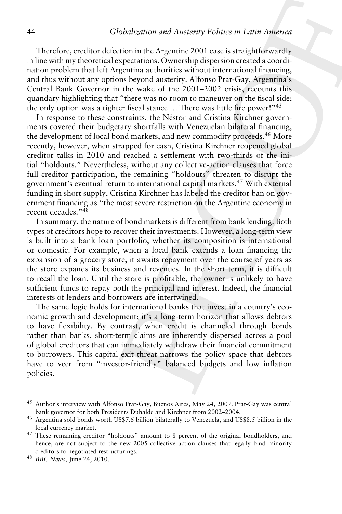Therefore, creditor defection in the Argentine 2001 case is straightforwardly in line with my theoretical expectations. Ownership dispersion created a coordination problem that left Argentina authorities without international financing, and thus without any options beyond austerity. Alfonso Prat-Gay, Argentina's Central Bank Governor in the wake of the 2001–2002 crisis, recounts this quandary highlighting that "there was no room to maneuver on the fiscal side; the only option was a tighter fiscal stance ... There was little fire power!"45

In response to these constraints, the Néstor and Cristina Kirchner governments covered their budgetary shortfalls with Venezuelan bilateral financing, the development of local bond markets, and new commodity proceeds.<sup>46</sup> More recently, however, when strapped for cash, Cristina Kirchner reopened global creditor talks in 2010 and reached a settlement with two-thirds of the initial "holdouts." Nevertheless, without any collective-action clauses that force full creditor participation, the remaining "holdouts" threaten to disrupt the government's eventual return to international capital markets.47 With external funding in short supply, Cristina Kirchner has labeled the creditor ban on government financing as "the most severe restriction on the Argentine economy in recent decades."48

In summary, the nature of bond markets is different from bank lending. Both types of creditors hope to recover their investments. However, a long-term view is built into a bank loan portfolio, whether its composition is international or domestic. For example, when a local bank extends a loan financing the expansion of a grocery store, it awaits repayment over the course of years as the store expands its business and revenues. In the short term, it is difficult to recall the loan. Until the store is profitable, the owner is unlikely to have sufficient funds to repay both the principal and interest. Indeed, the financial interests of lenders and borrowers are intertwined.

The same logic holds for international banks that invest in a country's economic growth and development; it's a long-term horizon that allows debtors to have flexibility. By contrast, when credit is channeled through bonds rather than banks, short-term claims are inherently dispersed across a pool of global creditors that can immediately withdraw their financial commitment to borrowers. This capital exit threat narrows the policy space that debtors have to veer from "investor-friendly" balanced budgets and low inflation policies.

<sup>45</sup> Author's interview with Alfonso Prat-Gay, Buenos Aires, May 24, 2007. Prat-Gay was central bank governor for both Presidents Duhalde and Kirchner from 2002–2004.

<sup>46</sup> Argentina sold bonds worth US\$7.6 billion bilaterally to Venezuela, and US\$8.5 billion in the local currency market.

<sup>47</sup> These remaining creditor "holdouts" amount to 8 percent of the original bondholders, and hence, are not subject to the new 2005 collective action clauses that legally bind minority creditors to negotiated restructurings.

<sup>48</sup> *BBC News*, June 24, 2010.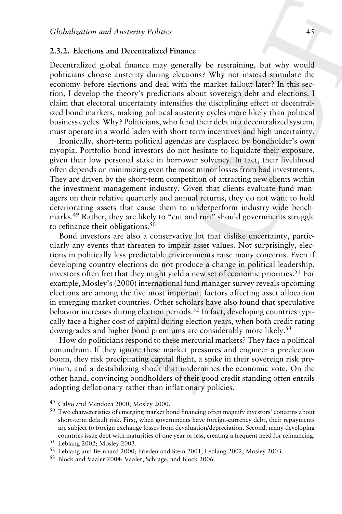## **2.3.2. Elections and Decentralized Finance**

Decentralized global finance may generally be restraining, but why would politicians choose austerity during elections? Why not instead stimulate the economy before elections and deal with the market fallout later? In this section, I develop the theory's predictions about sovereign debt and elections. I claim that electoral uncertainty intensifies the disciplining effect of decentralized bond markets, making political austerity cycles more likely than political business cycles. Why? Politicians, who fund their debt in a decentralized system, must operate in a world laden with short-term incentives and high uncertainty.

Ironically, short-term political agendas are displaced by bondholder's own myopia. Portfolio bond investors do not hesitate to liquidate their exposure, given their low personal stake in borrower solvency. In fact, their livelihood often depends on minimizing even the most minor losses from bad investments. They are driven by the short-term competition of attracting new clients within the investment management industry. Given that clients evaluate fund managers on their relative quarterly and annual returns, they do not want to hold deteriorating assets that cause them to underperform industry-wide benchmarks.<sup>49</sup> Rather, they are likely to "cut and run" should governments struggle to refinance their obligations.<sup>50</sup>

Bond investors are also a conservative lot that dislike uncertainty, particularly any events that threaten to impair asset values. Not surprisingly, elections in politically less predictable environments raise many concerns. Even if developing country elections do not produce a change in political leadership, investors often fret that they might yield a new set of economic priorities.<sup>51</sup> For example, Mosley's (2000) international fund manager survey reveals upcoming elections are among the five most important factors affecting asset allocation in emerging market countries. Other scholars have also found that speculative behavior increases during election periods.<sup>52</sup> In fact, developing countries typically face a higher cost of capital during election years, when both credit rating downgrades and higher bond premiums are considerably more likely.<sup>53</sup>

How do politicians respond to these mercurial markets? They face a political conundrum. If they ignore these market pressures and engineer a preelection boom, they risk precipitating capital flight, a spike in their sovereign risk premium, and a destabilizing shock that undermines the economic vote. On the other hand, convincing bondholders of their good credit standing often entails adopting deflationary rather than inflationary policies.

<sup>&</sup>lt;sup>49</sup> Calvo and Mendoza 2000; Mosley 2000.

 $50\,$  Two characteristics of emerging market bond financing often magnify investors' concerns about short-term default risk. First, when governments have foreign-currency debt, their repayments are subject to foreign exchange losses from devaluation/depreciation. Second, many developing countries issue debt with maturities of one year or less, creating a frequent need for refinancing.

<sup>51</sup> Leblang 2002; Mosley 2003.

<sup>52</sup> Leblang and Bernhard 2000; Frieden and Stein 2001; Leblang 2002; Mosley 2003.

<sup>53</sup> Block and Vaaler 2004; Vaaler, Schrage, and Block 2006.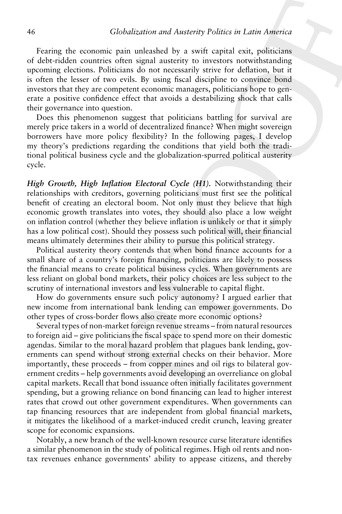Fearing the economic pain unleashed by a swift capital exit, politicians of debt-ridden countries often signal austerity to investors notwithstanding upcoming elections. Politicians do not necessarily strive for deflation, but it is often the lesser of two evils. By using fiscal discipline to convince bond investors that they are competent economic managers, politicians hope to generate a positive confidence effect that avoids a destabilizing shock that calls their governance into question.

Does this phenomenon suggest that politicians battling for survival are merely price takers in a world of decentralized finance? When might sovereign borrowers have more policy flexibility? In the following pages, I develop my theory's predictions regarding the conditions that yield both the traditional political business cycle and the globalization-spurred political austerity cycle.

*High Growth, High Inflation Electoral Cycle (H1).* Notwithstanding their relationships with creditors, governing politicians must first see the political benefit of creating an electoral boom. Not only must they believe that high economic growth translates into votes, they should also place a low weight on inflation control (whether they believe inflation is unlikely or that it simply has a low political cost). Should they possess such political will, their financial means ultimately determines their ability to pursue this political strategy.

Political austerity theory contends that when bond finance accounts for a small share of a country's foreign financing, politicians are likely to possess the financial means to create political business cycles. When governments are less reliant on global bond markets, their policy choices are less subject to the scrutiny of international investors and less vulnerable to capital flight.

How do governments ensure such policy autonomy? I argued earlier that new income from international bank lending can empower governments. Do other types of cross-border flows also create more economic options?

Several types of non-market foreign revenue streams – from natural resources to foreign aid – give politicians the fiscal space to spend more on their domestic agendas. Similar to the moral hazard problem that plagues bank lending, governments can spend without strong external checks on their behavior. More importantly, these proceeds – from copper mines and oil rigs to bilateral government credits – help governments avoid developing an overreliance on global capital markets. Recall that bond issuance often initially facilitates government spending, but a growing reliance on bond financing can lead to higher interest rates that crowd out other government expenditures. When governments can tap financing resources that are independent from global financial markets, it mitigates the likelihood of a market-induced credit crunch, leaving greater scope for economic expansions.

Notably, a new branch of the well-known resource curse literature identifies a similar phenomenon in the study of political regimes. High oil rents and nontax revenues enhance governments' ability to appease citizens, and thereby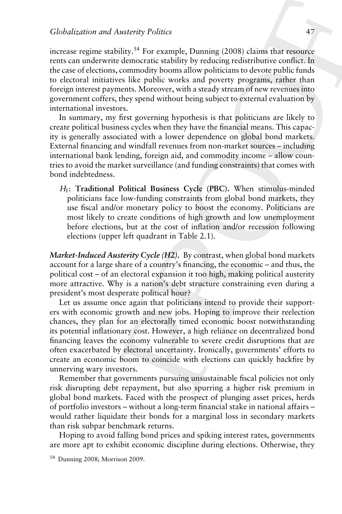increase regime stability.<sup>54</sup> For example, Dunning  $(2008)$  claims that resource rents can underwrite democratic stability by reducing redistributive conflict. In the case of elections, commodity booms allow politicians to devote public funds to electoral initiatives like public works and poverty programs, rather than foreign interest payments. Moreover, with a steady stream of new revenues into government coffers, they spend without being subject to external evaluation by international investors.

In summary, my first governing hypothesis is that politicians are likely to create political business cycles when they have the financial means. This capacity is generally associated with a lower dependence on global bond markets. External financing and windfall revenues from non-market sources – including international bank lending, foreign aid, and commodity income – allow countries to avoid the market surveillance (and funding constraints) that comes with bond indebtedness.

*H*1: **Traditional Political Business Cycle (PBC).** When stimulus-minded politicians face low-funding constraints from global bond markets, they use fiscal and/or monetary policy to boost the economy. Politicians are most likely to create conditions of high growth and low unemployment before elections, but at the cost of inflation and/or recession following elections (upper left quadrant in Table 2.1).

*Market-Induced Austerity Cycle (H2).* By contrast, when global bond markets account for a large share of a country's financing, the economic – and thus, the political cost – of an electoral expansion it too high, making political austerity more attractive. Why is a nation's debt structure constraining even during a president's most desperate political hour?

Let us assume once again that politicians intend to provide their supporters with economic growth and new jobs. Hoping to improve their reelection chances, they plan for an electorally timed economic boost notwithstanding its potential inflationary cost. However, a high reliance on decentralized bond financing leaves the economy vulnerable to severe credit disruptions that are often exacerbated by electoral uncertainty. Ironically, governments' efforts to create an economic boom to coincide with elections can quickly backfire by unnerving wary investors.

Remember that governments pursuing unsustainable fiscal policies not only risk disrupting debt repayment, but also spurring a higher risk premium in global bond markets. Faced with the prospect of plunging asset prices, herds of portfolio investors – without a long-term financial stake in national affairs – would rather liquidate their bonds for a marginal loss in secondary markets than risk subpar benchmark returns.

Hoping to avoid falling bond prices and spiking interest rates, governments are more apt to exhibit economic discipline during elections. Otherwise, they

<sup>54</sup> Dunning 2008; Morrison 2009.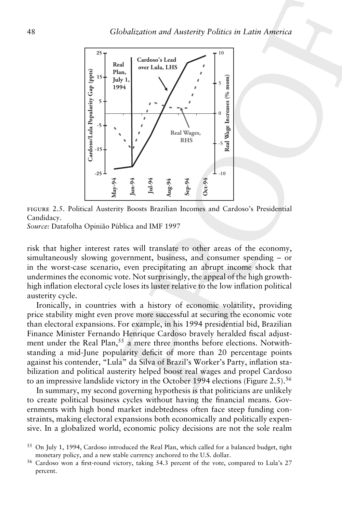

figure 2.5. Political Austerity Boosts Brazilian Incomes and Cardoso's Presidential Candidacy.

Source: Datafolha Opinião Pública and IMF 1997

risk that higher interest rates will translate to other areas of the economy, simultaneously slowing government, business, and consumer spending – or in the worst-case scenario, even precipitating an abrupt income shock that undermines the economic vote. Not surprisingly, the appeal of the high growthhigh inflation electoral cycle loses its luster relative to the low inflation political austerity cycle.

Ironically, in countries with a history of economic volatility, providing price stability might even prove more successful at securing the economic vote than electoral expansions. For example, in his 1994 presidential bid, Brazilian Finance Minister Fernando Henrique Cardoso bravely heralded fiscal adjustment under the Real Plan,<sup>55</sup> a mere three months before elections. Notwithstanding a mid-June popularity deficit of more than 20 percentage points against his contender, "Lula" da Silva of Brazil's Worker's Party, inflation stabilization and political austerity helped boost real wages and propel Cardoso to an impressive landslide victory in the October 1994 elections (Figure 2.5).<sup>56</sup>

In summary, my second governing hypothesis is that politicians are unlikely to create political business cycles without having the financial means. Governments with high bond market indebtedness often face steep funding constraints, making electoral expansions both economically and politically expensive. In a globalized world, economic policy decisions are not the sole realm

<sup>55</sup> On July 1, 1994, Cardoso introduced the Real Plan, which called for a balanced budget, tight monetary policy, and a new stable currency anchored to the U.S. dollar.

<sup>56</sup> Cardoso won a first-round victory, taking 54.3 percent of the vote, compared to Lula's 27 percent.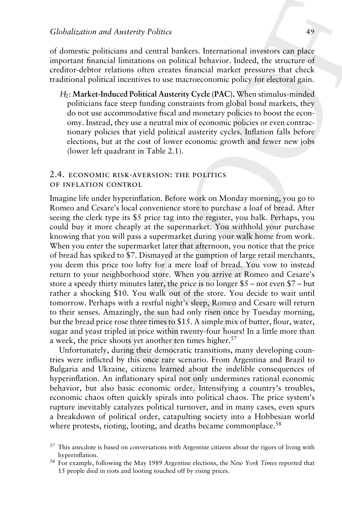of domestic politicians and central bankers. International investors can place important financial limitations on political behavior. Indeed, the structure of creditor-debtor relations often creates financial market pressures that check traditional political incentives to use macroeconomic policy for electoral gain.

*H*2: **Market-Induced Political Austerity Cycle (PAC).** When stimulus-minded politicians face steep funding constraints from global bond markets, they do not use accommodative fiscal and monetary policies to boost the economy. Instead, they use a neutral mix of economic policies or even contractionary policies that yield political austerity cycles. Inflation falls before elections, but at the cost of lower economic growth and fewer new jobs (lower left quadrant in Table 2.1).

## 2.4. economic risk-aversion: the politics of inflation control

Imagine life under hyperinflation. Before work on Monday morning, you go to Romeo and Cesare's local convenience store to purchase a loaf of bread. After seeing the clerk type its \$5 price tag into the register, you balk. Perhaps, you could buy it more cheaply at the supermarket. You withhold your purchase knowing that you will pass a supermarket during your walk home from work. When you enter the supermarket later that afternoon, you notice that the price of bread has spiked to \$7. Dismayed at the gumption of large retail merchants, you deem this price too lofty for a mere loaf of bread. You vow to instead return to your neighborhood store. When you arrive at Romeo and Cesare's store a speedy thirty minutes later, the price is no longer \$5 – not even \$7 – but rather a shocking \$10. You walk out of the store. You decide to wait until tomorrow. Perhaps with a restful night's sleep, Romeo and Cesare will return to their senses. Amazingly, the sun had only risen once by Tuesday morning, but the bread price rose three times to \$15. A simple mix of butter, flour, water, sugar and yeast tripled in price within twenty-four hours! In a little more than a week, the price shoots yet another ten times higher.<sup>57</sup>

Unfortunately, during their democratic transitions, many developing countries were inflicted by this once rare scenario. From Argentina and Brazil to Bulgaria and Ukraine, citizens learned about the indelible consequences of hyperinflation. An inflationary spiral not only undermines rational economic behavior, but also basic economic order. Intensifying a country's troubles, economic chaos often quickly spirals into political chaos. The price system's rupture inevitably catalyzes political turnover, and in many cases, even spurs a breakdown of political order, catapulting society into a Hobbesian world where protests, rioting, looting, and deaths became commonplace.<sup>58</sup>

<sup>&</sup>lt;sup>57</sup> This anecdote is based on conversations with Argentine citizens about the rigors of living with hyperinflation.

<sup>58</sup> For example, following the May 1989 Argentine elections, the *New York Times* reported that 15 people died in riots and looting touched off by rising prices.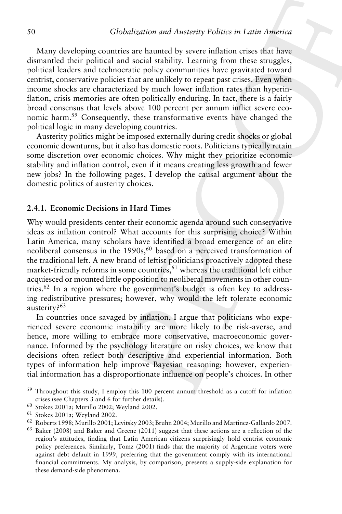Many developing countries are haunted by severe inflation crises that have dismantled their political and social stability. Learning from these struggles, political leaders and technocratic policy communities have gravitated toward centrist, conservative policies that are unlikely to repeat past crises. Even when income shocks are characterized by much lower inflation rates than hyperinflation, crisis memories are often politically enduring. In fact, there is a fairly broad consensus that levels above 100 percent per annum inflict severe economic harm.59 Consequently, these transformative events have changed the political logic in many developing countries.

Austerity politics might be imposed externally during credit shocks or global economic downturns, but it also has domestic roots. Politicians typically retain some discretion over economic choices. Why might they prioritize economic stability and inflation control, even if it means creating less growth and fewer new jobs? In the following pages, I develop the causal argument about the domestic politics of austerity choices.

#### **2.4.1. Economic Decisions in Hard Times**

Why would presidents center their economic agenda around such conservative ideas as inflation control? What accounts for this surprising choice? Within Latin America, many scholars have identified a broad emergence of an elite neoliberal consensus in the 1990s,<sup>60</sup> based on a perceived transformation of the traditional left. A new brand of leftist politicians proactively adopted these market-friendly reforms in some countries,  $61$  whereas the traditional left either acquiesced or mounted little opposition to neoliberal movements in other countries.<sup>62</sup> In a region where the government's budget is often key to addressing redistributive pressures; however, why would the left tolerate economic austerity?<sup>63</sup>

In countries once savaged by inflation, I argue that politicians who experienced severe economic instability are more likely to be risk-averse, and hence, more willing to embrace more conservative, macroeconomic governance. Informed by the psychology literature on risky choices, we know that decisions often reflect both descriptive and experiential information. Both types of information help improve Bayesian reasoning; however, experiential information has a disproportionate influence on people's choices. In other

<sup>&</sup>lt;sup>59</sup> Throughout this study, I employ this 100 percent annum threshold as a cutoff for inflation crises (see Chapters 3 and 6 for further details).

<sup>60</sup> Stokes 2001a; Murillo 2002; Weyland 2002.

<sup>61</sup> Stokes 2001a; Weyland 2002.

<sup>62</sup> Roberts 1998; Murillo 2001; Levitsky 2003; Bruhn 2004; Murillo and Martinez-Gallardo 2007.

<sup>63</sup> Baker (2008) and Baker and Greene (2011) suggest that these actions are a reflection of the region's attitudes, finding that Latin American citizens surprisingly hold centrist economic policy preferences. Similarly, Tomz (2001) finds that the majority of Argentine voters were against debt default in 1999, preferring that the government comply with its international financial commitments. My analysis, by comparison, presents a supply-side explanation for these demand-side phenomena.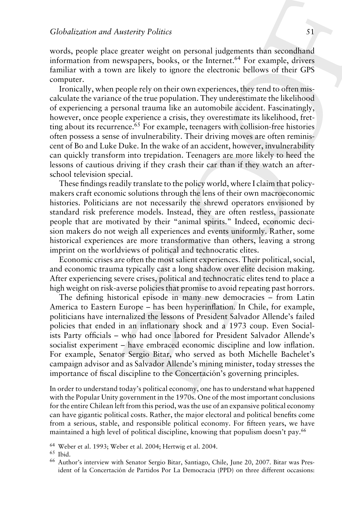words, people place greater weight on personal judgements than secondhand information from newspapers, books, or the Internet.<sup>64</sup> For example, drivers familiar with a town are likely to ignore the electronic bellows of their GPS computer.

Ironically, when people rely on their own experiences, they tend to often miscalculate the variance of the true population. They underestimate the likelihood of experiencing a personal trauma like an automobile accident. Fascinatingly, however, once people experience a crisis, they overestimate its likelihood, fretting about its recurrence.<sup>65</sup> For example, teenagers with collision-free histories often possess a sense of invulnerability. Their driving moves are often reminiscent of Bo and Luke Duke. In the wake of an accident, however, invulnerability can quickly transform into trepidation. Teenagers are more likely to heed the lessons of cautious driving if they crash their car than if they watch an afterschool television special.

These findings readily translate to the policy world, where I claim that policymakers craft economic solutions through the lens of their own macroeconomic histories. Politicians are not necessarily the shrewd operators envisioned by standard risk preference models. Instead, they are often restless, passionate people that are motivated by their "animal spirits." Indeed, economic decision makers do not weigh all experiences and events uniformly. Rather, some historical experiences are more transformative than others, leaving a strong imprint on the worldviews of political and technocratic elites.

Economic crises are often the most salient experiences. Their political, social, and economic trauma typically cast a long shadow over elite decision making. After experiencing severe crises, political and technocratic elites tend to place a high weight on risk-averse policies that promise to avoid repeating past horrors.

The defining historical episode in many new democracies – from Latin America to Eastern Europe – has been hyperinflation. In Chile, for example, politicians have internalized the lessons of President Salvador Allende's failed policies that ended in an inflationary shock and a 1973 coup. Even Socialists Party officials – who had once labored for President Salvador Allende's socialist experiment – have embraced economic discipline and low inflation. For example, Senator Sergio Bitar, who served as both Michelle Bachelet's campaign advisor and as Salvador Allende's mining minister, today stresses the importance of fiscal discipline to the Concertación's governing principles.

In order to understand today's political economy, one has to understand what happened with the Popular Unity government in the 1970s. One of the most important conclusions for the entire Chilean left from this period, was the use of an expansive political economy can have gigantic political costs. Rather, the major electoral and political benefits come from a serious, stable, and responsible political economy. For fifteen years, we have maintained a high level of political discipline, knowing that populism doesn't pay.<sup>66</sup>

<sup>64</sup> Weber et al. 1993; Weber et al. 2004; Hertwig et al. 2004.

<sup>65</sup> Ibid.

<sup>66</sup> Author's interview with Senator Sergio Bitar, Santiago, Chile, June 20, 2007. Bitar was President of la Concertacion de Partidos Por La Democracia (PPD) on three different occasions: ´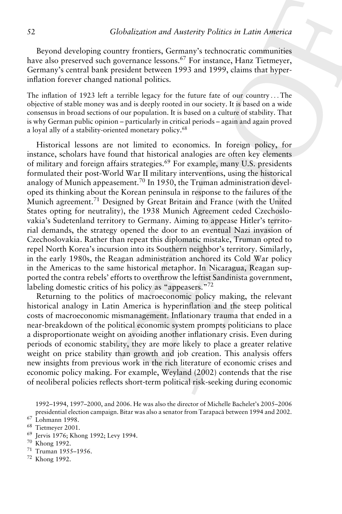Beyond developing country frontiers, Germany's technocratic communities have also preserved such governance lessons.<sup>67</sup> For instance, Hanz Tietmeyer, Germany's central bank president between 1993 and 1999, claims that hyperinflation forever changed national politics.

The inflation of 1923 left a terrible legacy for the future fate of our country ... The objective of stable money was and is deeply rooted in our society. It is based on a wide consensus in broad sections of our population. It is based on a culture of stability. That is why German public opinion – particularly in critical periods – again and again proved a loyal ally of a stability-oriented monetary policy.<sup>68</sup>

Historical lessons are not limited to economics. In foreign policy, for instance, scholars have found that historical analogies are often key elements of military and foreign affairs strategies.<sup>69</sup> For example, many U.S. presidents formulated their post-World War II military interventions, using the historical analogy of Munich appeasement.<sup>70</sup> In 1950, the Truman administration developed its thinking about the Korean peninsula in response to the failures of the Munich agreement.<sup>71</sup> Designed by Great Britain and France (with the United States opting for neutrality), the 1938 Munich Agreement ceded Czechoslovakia's Sudetenland territory to Germany. Aiming to appease Hitler's territorial demands, the strategy opened the door to an eventual Nazi invasion of Czechoslovakia. Rather than repeat this diplomatic mistake, Truman opted to repel North Korea's incursion into its Southern neighbor's territory. Similarly, in the early 1980s, the Reagan administration anchored its Cold War policy in the Americas to the same historical metaphor. In Nicaragua, Reagan supported the contra rebels' efforts to overthrow the leftist Sandinista government, labeling domestic critics of his policy as "appeasers."<sup>72</sup>

Returning to the politics of macroeconomic policy making, the relevant historical analogy in Latin America is hyperinflation and the steep political costs of macroeconomic mismanagement. Inflationary trauma that ended in a near-breakdown of the political economic system prompts politicians to place a disproportionate weight on avoiding another inflationary crisis. Even during periods of economic stability, they are more likely to place a greater relative weight on price stability than growth and job creation. This analysis offers new insights from previous work in the rich literature of economic crises and economic policy making. For example, Weyland (2002) contends that the rise of neoliberal policies reflects short-term political risk-seeking during economic

- $^{68}$  Tietmeyer 2001.
- Jervis 1976; Khong 1992; Levy 1994.
- <sup>70</sup> Khong 1992.
- <sup>71</sup> Truman 1955–1956.
- <sup>72</sup> Khong 1992.

<sup>1992–1994, 1997–2000,</sup> and 2006. He was also the director of Michelle Bachelet's 2005–2006 presidential election campaign. Bitar was also a senator from Tarapaca between 1994 and 2002. ´

<sup>67</sup> Lohmann 1998.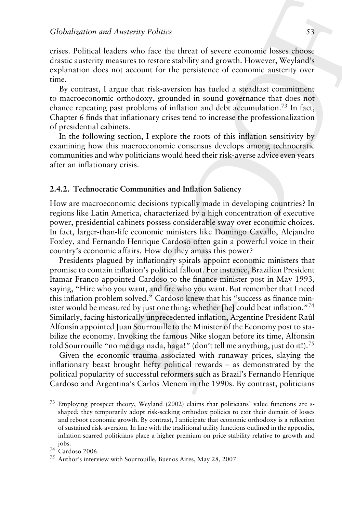crises. Political leaders who face the threat of severe economic losses choose drastic austerity measures to restore stability and growth. However, Weyland's explanation does not account for the persistence of economic austerity over time.

By contrast, I argue that risk-aversion has fueled a steadfast commitment to macroeconomic orthodoxy, grounded in sound governance that does not chance repeating past problems of inflation and debt accumulation.<sup>73</sup> In fact, Chapter 6 finds that inflationary crises tend to increase the professionalization of presidential cabinets.

In the following section, I explore the roots of this inflation sensitivity by examining how this macroeconomic consensus develops among technocratic communities and why politicians would heed their risk-averse advice even years after an inflationary crisis.

#### **2.4.2. Technocratic Communities and Inflation Saliency**

How are macroeconomic decisions typically made in developing countries? In regions like Latin America, characterized by a high concentration of executive power, presidential cabinets possess considerable sway over economic choices. In fact, larger-than-life economic ministers like Domingo Cavallo, Alejandro Foxley, and Fernando Henrique Cardoso often gain a powerful voice in their country's economic affairs. How do they amass this power?

Presidents plagued by inflationary spirals appoint economic ministers that promise to contain inflation's political fallout. For instance, Brazilian President Itamar Franco appointed Cardoso to the finance minister post in May 1993, saying, "Hire who you want, and fire who you want. But remember that I need this inflation problem solved." Cardoso knew that his "success as finance minister would be measured by just one thing: whether [he] could beat inflation."<sup>74</sup> Similarly, facing historically unprecedented inflation, Argentine President Raul´ Alfonsin appointed Juan Sourrouille to the Minister of the Economy post to stabilize the economy. Invoking the famous Nike slogan before its time, Alfonsin told Sourrouille "no me diga nada, haga!" (don't tell me anything, just do it!).<sup>75</sup>

Given the economic trauma associated with runaway prices, slaying the inflationary beast brought hefty political rewards – as demonstrated by the political popularity of successful reformers such as Brazil's Fernando Henrique Cardoso and Argentina's Carlos Menem in the 1990s. By contrast, politicians

<sup>73</sup> Employing prospect theory, Weyland (2002) claims that politicians' value functions are sshaped; they temporarily adopt risk-seeking orthodox policies to exit their domain of losses and reboot economic growth. By contrast, I anticipate that economic orthodoxy is a reflection of sustained risk-aversion. In line with the traditional utility functions outlined in the appendix, inflation-scarred politicians place a higher premium on price stability relative to growth and jobs.

<sup>74</sup> Cardoso 2006.

<sup>75</sup> Author's interview with Sourrouille, Buenos Aires, May 28, 2007.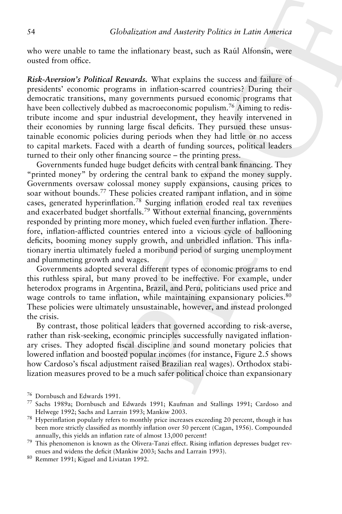who were unable to tame the inflationary beast, such as Raul Alfonsin, were ousted from office.

*Risk-Aversion's Political Rewards.* What explains the success and failure of presidents' economic programs in inflation-scarred countries? During their democratic transitions, many governments pursued economic programs that have been collectively dubbed as macroeconomic populism.<sup>76</sup> Aiming to redistribute income and spur industrial development, they heavily intervened in their economies by running large fiscal deficits. They pursued these unsustainable economic policies during periods when they had little or no access to capital markets. Faced with a dearth of funding sources, political leaders turned to their only other financing source – the printing press.

Governments funded huge budget deficits with central bank financing. They "printed money" by ordering the central bank to expand the money supply. Governments oversaw colossal money supply expansions, causing prices to soar without bounds.<sup>77</sup> These policies created rampant inflation, and in some cases, generated hyperinflation.<sup>78</sup> Surging inflation eroded real tax revenues and exacerbated budget shortfalls.<sup>79</sup> Without external financing, governments responded by printing more money, which fueled even further inflation. Therefore, inflation-afflicted countries entered into a vicious cycle of ballooning deficits, booming money supply growth, and unbridled inflation. This inflationary inertia ultimately fueled a moribund period of surging unemployment and plummeting growth and wages.

Governments adopted several different types of economic programs to end this ruthless spiral, but many proved to be ineffective. For example, under heterodox programs in Argentina, Brazil, and Peru, politicians used price and wage controls to tame inflation, while maintaining expansionary policies.<sup>80</sup> These policies were ultimately unsustainable, however, and instead prolonged the crisis.

By contrast, those political leaders that governed according to risk-averse, rather than risk-seeking, economic principles successfully navigated inflationary crises. They adopted fiscal discipline and sound monetary policies that lowered inflation and boosted popular incomes (for instance, Figure 2.5 shows how Cardoso's fiscal adjustment raised Brazilian real wages). Orthodox stabilization measures proved to be a much safer political choice than expansionary

<sup>76</sup> Dornbusch and Edwards 1991.

<sup>77</sup> Sachs 1989a; Dornbusch and Edwards 1991; Kaufman and Stallings 1991; Cardoso and Helwege 1992; Sachs and Larrain 1993; Mankiw 2003.

 $^{78}$  Hyperinflation popularly refers to monthly price increases exceeding 20 percent, though it has been more strictly classified as monthly inflation over 50 percent (Cagan, 1956). Compounded annually, this yields an inflation rate of almost 13,000 percent!

<sup>79</sup> This phenomenon is known as the Olivera-Tanzi effect. Rising inflation depresses budget revenues and widens the deficit (Mankiw 2003; Sachs and Larrain 1993).

<sup>80</sup> Remmer 1991; Kiguel and Liviatan 1992.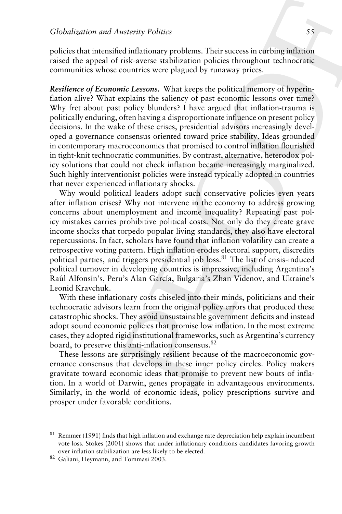policies that intensified inflationary problems. Their success in curbing inflation raised the appeal of risk-averse stabilization policies throughout technocratic communities whose countries were plagued by runaway prices.

*Resilience of Economic Lessons.* What keeps the political memory of hyperinflation alive? What explains the saliency of past economic lessons over time? Why fret about past policy blunders? I have argued that inflation-trauma is politically enduring, often having a disproportionate influence on present policy decisions. In the wake of these crises, presidential advisors increasingly developed a governance consensus oriented toward price stability. Ideas grounded in contemporary macroeconomics that promised to control inflation flourished in tight-knit technocratic communities. By contrast, alternative, heterodox policy solutions that could not check inflation became increasingly marginalized. Such highly interventionist policies were instead typically adopted in countries that never experienced inflationary shocks.

Why would political leaders adopt such conservative policies even years after inflation crises? Why not intervene in the economy to address growing concerns about unemployment and income inequality? Repeating past policy mistakes carries prohibitive political costs. Not only do they create grave income shocks that torpedo popular living standards, they also have electoral repercussions. In fact, scholars have found that inflation volatility can create a retrospective voting pattern. High inflation erodes electoral support, discredits political parties, and triggers presidential job loss.<sup>81</sup> The list of crisis-induced political turnover in developing countries is impressive, including Argentina's Raúl Alfonsín's, Peru's Alan García, Bulgaria's Zhan Videnov, and Ukraine's Leonid Kravchuk.

With these inflationary costs chiseled into their minds, politicians and their technocratic advisors learn from the original policy errors that produced these catastrophic shocks. They avoid unsustainable government deficits and instead adopt sound economic policies that promise low inflation. In the most extreme cases, they adopted rigid institutional frameworks, such as Argentina's currency board, to preserve this anti-inflation consensus.<sup>82</sup>

These lessons are surprisingly resilient because of the macroeconomic governance consensus that develops in these inner policy circles. Policy makers gravitate toward economic ideas that promise to prevent new bouts of inflation. In a world of Darwin, genes propagate in advantageous environments. Similarly, in the world of economic ideas, policy prescriptions survive and prosper under favorable conditions.

 $81$  Remmer (1991) finds that high inflation and exchange rate depreciation help explain incumbent vote loss. Stokes (2001) shows that under inflationary conditions candidates favoring growth over inflation stabilization are less likely to be elected.

<sup>82</sup> Galiani, Heymann, and Tommasi 2003.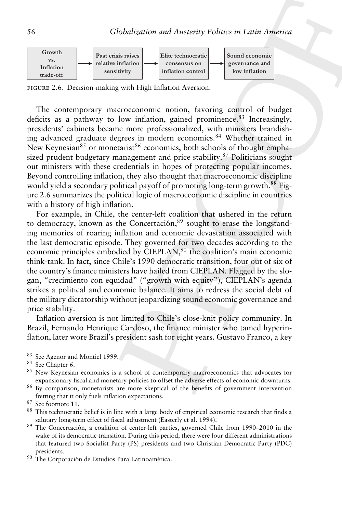

FIGURE 2.6. Decision-making with High Inflation Aversion.

The contemporary macroeconomic notion, favoring control of budget deficits as a pathway to low inflation, gained prominence.<sup>83</sup> Increasingly, presidents' cabinets became more professionalized, with ministers brandishing advanced graduate degrees in modern economics.84 Whether trained in New Keynesian<sup>85</sup> or monetarist<sup>86</sup> economics, both schools of thought emphasized prudent budgetary management and price stability.<sup>87</sup> Politicians sought out ministers with these credentials in hopes of protecting popular incomes. Beyond controlling inflation, they also thought that macroeconomic discipline would yield a secondary political payoff of promoting long-term growth.<sup>88</sup> Figure 2.6 summarizes the political logic of macroeconomic discipline in countries with a history of high inflation.

For example, in Chile, the center-left coalition that ushered in the return to democracy, known as the Concertación, <sup>89</sup> sought to erase the longstanding memories of roaring inflation and economic devastation associated with the last democratic episode. They governed for two decades according to the economic principles embodied by CIEPLAN,<sup>90</sup> the coalition's main economic think-tank. In fact, since Chile's 1990 democratic transition, four out of six of the country's finance ministers have hailed from CIEPLAN. Flagged by the slogan, "crecimiento con equidad" ("growth with equity"), CIEPLAN's agenda strikes a political and economic balance. It aims to redress the social debt of the military dictatorship without jeopardizing sound economic governance and price stability.

Inflation aversion is not limited to Chile's close-knit policy community. In Brazil, Fernando Henrique Cardoso, the finance minister who tamed hyperinflation, later wore Brazil's president sash for eight years. Gustavo Franco, a key

- 83 See Agenor and Montiel 1999.
- <sup>84</sup> See Chapter 6.

- <sup>86</sup> By comparison, monetarists are more skeptical of the benefits of government intervention fretting that it only fuels inflation expectations.
- <sup>87</sup> See footnote 11.
- $88$  This technocratic belief is in line with a large body of empirical economic research that finds a salutary long-term effect of fiscal adjustment (Easterly et al. 1994).
- <sup>89</sup> The Concertación, a coalition of center-left parties, governed Chile from 1990–2010 in the wake of its democratic transition. During this period, there were four different administrations that featured two Socialist Party (PS) presidents and two Christian Democratic Party (PDC) presidents.
- $90$  The Corporación de Estudios Para Latinoamérica.

<sup>85</sup> New Keynesian economics is a school of contemporary macroeconomics that advocates for expansionary fiscal and monetary policies to offset the adverse effects of economic downturns.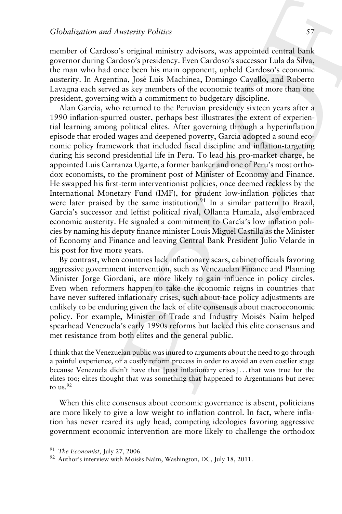member of Cardoso's original ministry advisors, was appointed central bank governor during Cardoso's presidency. Even Cardoso's successor Lula da Silva, the man who had once been his main opponent, upheld Cardoso's economic austerity. In Argentina, Jose Luis Machinea, Domingo Cavallo, and Roberto ´ Lavagna each served as key members of the economic teams of more than one president, governing with a commitment to budgetary discipline.

Alan García, who returned to the Peruvian presidency sixteen years after a 1990 inflation-spurred ouster, perhaps best illustrates the extent of experiential learning among political elites. After governing through a hyperinflation episode that eroded wages and deepened poverty, García adopted a sound economic policy framework that included fiscal discipline and inflation-targeting during his second presidential life in Peru. To lead his pro-market charge, he appointed Luis Carranza Ugarte, a former banker and one of Peru's most orthodox economists, to the prominent post of Minister of Economy and Finance. He swapped his first-term interventionist policies, once deemed reckless by the International Monetary Fund (IMF), for prudent low-inflation policies that were later praised by the same institution.<sup>91</sup> In a similar pattern to Brazil, García's successor and leftist political rival, Ollanta Humala, also embraced economic austerity. He signaled a commitment to García's low inflation policies by naming his deputy finance minister Louis Miguel Castilla as the Minister of Economy and Finance and leaving Central Bank President Julio Velarde in his post for five more years.

By contrast, when countries lack inflationary scars, cabinet officials favoring aggressive government intervention, such as Venezuelan Finance and Planning Minister Jorge Giordani, are more likely to gain influence in policy circles. Even when reformers happen to take the economic reigns in countries that have never suffered inflationary crises, such about-face policy adjustments are unlikely to be enduring given the lack of elite consensus about macroeconomic policy. For example, Minister of Trade and Industry Moisés Naim helped spearhead Venezuela's early 1990s reforms but lacked this elite consensus and met resistance from both elites and the general public.

I think that the Venezuelan public was inured to arguments about the need to go through a painful experience, or a costly reform process in order to avoid an even costlier stage because Venezuela didn't have that [past inflationary crises] ... that was true for the elites too; elites thought that was something that happened to Argentinians but never to us. $92$ 

When this elite consensus about economic governance is absent, politicians are more likely to give a low weight to inflation control. In fact, where inflation has never reared its ugly head, competing ideologies favoring aggressive government economic intervention are more likely to challenge the orthodox

<sup>91</sup> *The Economist*, July 27, 2006.

 $92$  Author's interview with Moisés Naím, Washington, DC, July 18, 2011.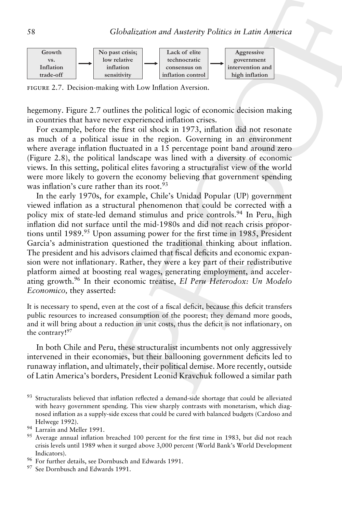

figure 2.7. Decision-making with Low Inflation Aversion.

hegemony. Figure 2.7 outlines the political logic of economic decision making in countries that have never experienced inflation crises.

For example, before the first oil shock in 1973, inflation did not resonate as much of a political issue in the region. Governing in an environment where average inflation fluctuated in a 15 percentage point band around zero (Figure 2.8), the political landscape was lined with a diversity of economic views. In this setting, political elites favoring a structuralist view of the world were more likely to govern the economy believing that government spending was inflation's cure rather than its root.<sup>93</sup>

In the early 1970s, for example, Chile's Unidad Popular (UP) government viewed inflation as a structural phenomenon that could be corrected with a policy mix of state-led demand stimulus and price controls.<sup>94</sup> In Peru, high inflation did not surface until the mid-1980s and did not reach crisis proportions until 1989.<sup>95</sup> Upon assuming power for the first time in 1985, President García's administration questioned the traditional thinking about inflation. The president and his advisors claimed that fiscal deficits and economic expansion were not inflationary. Rather, they were a key part of their redistributive platform aimed at boosting real wages, generating employment, and accelerating growth.<sup>96</sup> In their economic treatise, *El Peru Heterodox: Un Modelo Economico,* they asserted:

It is necessary to spend, even at the cost of a fiscal deficit, because this deficit transfers public resources to increased consumption of the poorest; they demand more goods, and it will bring about a reduction in unit costs, thus the deficit is not inflationary, on the contrary!<sup>97</sup>

In both Chile and Peru, these structuralist incumbents not only aggressively intervened in their economies, but their ballooning government deficits led to runaway inflation, and ultimately, their political demise. More recently, outside of Latin America's borders, President Leonid Kravchuk followed a similar path

- <sup>95</sup> Average annual inflation breached 100 percent for the first time in 1983, but did not reach crisis levels until 1989 when it surged above 3,000 percent (World Bank's World Development Indicators).
- <sup>96</sup> For further details, see Dornbusch and Edwards 1991.
- <sup>97</sup> See Dornbusch and Edwards 1991.

<sup>&</sup>lt;sup>93</sup> Structuralists believed that inflation reflected a demand-side shortage that could be alleviated with heavy government spending. This view sharply contrasts with monetarism, which diagnosed inflation as a supply-side excess that could be cured with balanced budgets (Cardoso and Helwege 1992).

<sup>94</sup> Larraín and Meller 1991.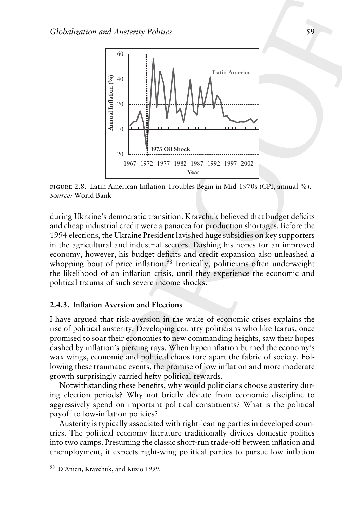

figure 2.8. Latin American Inflation Troubles Begin in Mid-1970s (CPI, annual %). *Source:* World Bank

during Ukraine's democratic transition. Kravchuk believed that budget deficits and cheap industrial credit were a panacea for production shortages. Before the 1994 elections, the Ukraine President lavished huge subsidies on key supporters in the agricultural and industrial sectors. Dashing his hopes for an improved economy, however, his budget deficits and credit expansion also unleashed a whopping bout of price inflation.<sup>98</sup> Ironically, politicians often underweight the likelihood of an inflation crisis, until they experience the economic and political trauma of such severe income shocks.

# **2.4.3. Inflation Aversion and Elections**

I have argued that risk-aversion in the wake of economic crises explains the rise of political austerity. Developing country politicians who like Icarus, once promised to soar their economies to new commanding heights, saw their hopes dashed by inflation's piercing rays. When hyperinflation burned the economy's wax wings, economic and political chaos tore apart the fabric of society. Following these traumatic events, the promise of low inflation and more moderate growth surprisingly carried hefty political rewards.

Notwithstanding these benefits, why would politicians choose austerity during election periods? Why not briefly deviate from economic discipline to aggressively spend on important political constituents? What is the political payoff to low-inflation policies?

Austerity is typically associated with right-leaning parties in developed countries. The political economy literature traditionally divides domestic politics into two camps. Presuming the classic short-run trade-off between inflation and unemployment, it expects right-wing political parties to pursue low inflation

<sup>98</sup> D'Anieri, Kravchuk, and Kuzio 1999.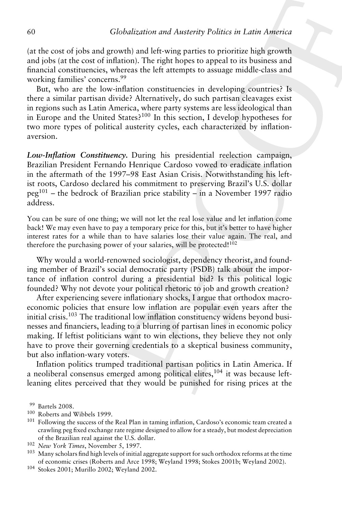(at the cost of jobs and growth) and left-wing parties to prioritize high growth and jobs (at the cost of inflation). The right hopes to appeal to its business and financial constituencies, whereas the left attempts to assuage middle-class and working families' concerns.99

But, who are the low-inflation constituencies in developing countries? Is there a similar partisan divide? Alternatively, do such partisan cleavages exist in regions such as Latin America, where party systems are less ideological than in Europe and the United States?100 In this section, I develop hypotheses for two more types of political austerity cycles, each characterized by inflationaversion.

*Low-Inflation Constituency.* During his presidential reelection campaign, Brazilian President Fernando Henrique Cardoso vowed to eradicate inflation in the aftermath of the 1997–98 East Asian Crisis. Notwithstanding his leftist roots, Cardoso declared his commitment to preserving Brazil's U.S. dollar peg101 – the bedrock of Brazilian price stability – in a November 1997 radio address.

You can be sure of one thing; we will not let the real lose value and let inflation come back! We may even have to pay a temporary price for this, but it's better to have higher interest rates for a while than to have salaries lose their value again. The real, and therefore the purchasing power of your salaries, will be protected!<sup>102</sup>

Why would a world-renowned sociologist, dependency theorist, and founding member of Brazil's social democratic party (PSDB) talk about the importance of inflation control during a presidential bid? Is this political logic founded? Why not devote your political rhetoric to job and growth creation?

After experiencing severe inflationary shocks, I argue that orthodox macroeconomic policies that ensure low inflation are popular even years after the initial crisis.<sup>103</sup> The traditional low inflation constituency widens beyond businesses and financiers, leading to a blurring of partisan lines in economic policy making. If leftist politicians want to win elections, they believe they not only have to prove their governing credentials to a skeptical business community, but also inflation-wary voters.

Inflation politics trumped traditional partisan politics in Latin America. If a neoliberal consensus emerged among political elites,<sup>104</sup> it was because leftleaning elites perceived that they would be punished for rising prices at the

<sup>103</sup> Many scholars find high levels of initial aggregate support for such orthodox reforms at the time of economic crises (Roberts and Arce 1998; Weyland 1998; Stokes 2001b; Weyland 2002).

<sup>104</sup> Stokes 2001; Murillo 2002; Weyland 2002.

<sup>99</sup> Bartels 2008.

<sup>100</sup> Roberts and Wibbels 1999.

<sup>&</sup>lt;sup>101</sup> Following the success of the Real Plan in taming inflation, Cardoso's economic team created a crawling peg fixed exchange rate regime designed to allow for a steady, but modest depreciation of the Brazilian real against the U.S. dollar.

<sup>102</sup> *New York Times*, November 5, 1997.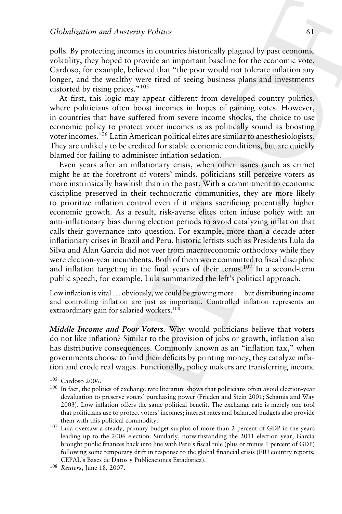polls. By protecting incomes in countries historically plagued by past economic volatility, they hoped to provide an important baseline for the economic vote. Cardoso, for example, believed that "the poor would not tolerate inflation any longer, and the wealthy were tired of seeing business plans and investments distorted by rising prices."<sup>105</sup>

At first, this logic may appear different from developed country politics, where politicians often boost incomes in hopes of gaining votes. However, in countries that have suffered from severe income shocks, the choice to use economic policy to protect voter incomes is as politically sound as boosting voter incomes.<sup>106</sup> Latin American political elites are similar to anesthesiologists. They are unlikely to be credited for stable economic conditions, but are quickly blamed for failing to administer inflation sedation.

Even years after an inflationary crisis, when other issues (such as crime) might be at the forefront of voters' minds, politicians still perceive voters as more instrinsically hawkish than in the past. With a commitment to economic discipline preserved in their technocratic communities, they are more likely to prioritize inflation control even if it means sacrificing potentially higher economic growth. As a result, risk-averse elites often infuse policy with an anti-inflationary bias during election periods to avoid catalyzing inflation that calls their governance into question. For example, more than a decade after inflationary crises in Brazil and Peru, historic leftists such as Presidents Lula da Silva and Alan García did not veer from macroeconomic orthodoxy while they were election-year incumbents. Both of them were committed to fiscal discipline and inflation targeting in the final years of their terms.<sup>107</sup> In a second-term public speech, for example, Lula summarized the left's political approach.

Low inflation is vital ... obviously, we could be growing more ... but distributing income and controlling inflation are just as important. Controlled inflation represents an extraordinary gain for salaried workers.<sup>108</sup>

*Middle Income and Poor Voters.* Why would politicians believe that voters do not like inflation? Similar to the provision of jobs or growth, inflation also has distributive consequences. Commonly known as an "inflation tax," when governments choose to fund their deficits by printing money, they catalyze inflation and erode real wages. Functionally, policy makers are transferring income

- <sup>105</sup> Cardoso 2006.
- <sup>106</sup> In fact, the politics of exchange rate literature shows that politicians often avoid election-year devaluation to preserve voters' purchasing power (Frieden and Stein 2001; Schamis and Way 2003). Low inflation offers the same political benefit. The exchange rate is merely one tool that politicians use to protect voters' incomes; interest rates and balanced budgets also provide them with this political commodity.
- <sup>107</sup> Lula oversaw a steady, primary budget surplus of more than 2 percent of GDP in the years leading up to the 2006 election. Similarly, notwithstanding the 2011 election year, García brought public finances back into line with Peru's fiscal rule (plus or minus 1 percent of GDP) following some temporary drift in response to the global financial crisis (EIU country reports; CEPAL's Bases de Datos y Publicaciones Estadística).
- <sup>108</sup> *Reuters*, June 18, 2007.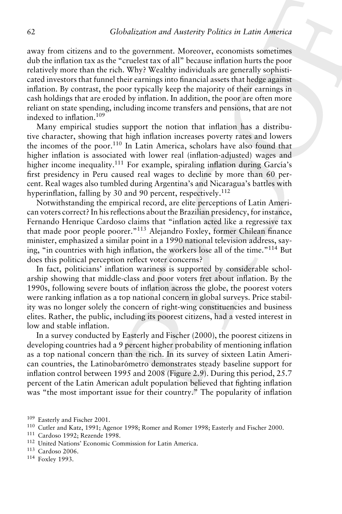away from citizens and to the government. Moreover, economists sometimes dub the inflation tax as the "cruelest tax of all" because inflation hurts the poor relatively more than the rich. Why? Wealthy individuals are generally sophisticated investors that funnel their earnings into financial assets that hedge against inflation. By contrast, the poor typically keep the majority of their earnings in cash holdings that are eroded by inflation. In addition, the poor are often more reliant on state spending, including income transfers and pensions, that are not indexed to inflation.<sup>109</sup>

Many empirical studies support the notion that inflation has a distributive character, showing that high inflation increases poverty rates and lowers the incomes of the poor.<sup>110</sup> In Latin America, scholars have also found that higher inflation is associated with lower real (inflation-adjusted) wages and higher income inequality.<sup>111</sup> For example, spiraling inflation during García's first presidency in Peru caused real wages to decline by more than 60 percent. Real wages also tumbled during Argentina's and Nicaragua's battles with hyperinflation, falling by 30 and 90 percent, respectively.<sup>112</sup>

Notwithstanding the empirical record, are elite perceptions of Latin American voters correct? In his reflections about the Brazilian presidency, for instance, Fernando Henrique Cardoso claims that "inflation acted like a regressive tax that made poor people poorer."<sup>113</sup> Alejandro Foxley, former Chilean finance minister, emphasized a similar point in a 1990 national television address, saying, "in countries with high inflation, the workers lose all of the time."114 But does this political perception reflect voter concerns?

In fact, politicians' inflation wariness is supported by considerable scholarship showing that middle-class and poor voters fret about inflation. By the 1990s, following severe bouts of inflation across the globe, the poorest voters were ranking inflation as a top national concern in global surveys. Price stability was no longer solely the concern of right-wing constituencies and business elites. Rather, the public, including its poorest citizens, had a vested interest in low and stable inflation.

In a survey conducted by Easterly and Fischer (2000), the poorest citizens in developing countries had a 9 percent higher probability of mentioning inflation as a top national concern than the rich. In its survey of sixteen Latin American countries, the Latinobarómetro demonstrates steady baseline support for inflation control between 1995 and 2008 (Figure 2.9). During this period, 25.7 percent of the Latin American adult population believed that fighting inflation was "the most important issue for their country." The popularity of inflation

<sup>114</sup> Foxley 1993.

<sup>109</sup> Easterly and Fischer 2001.

<sup>110</sup> Cutler and Katz, 1991; Agenor 1998; Romer and Romer 1998; Easterly and Fischer 2000.

<sup>111</sup> Cardoso 1992; Rezende 1998.

<sup>112</sup> United Nations' Economic Commission for Latin America.

<sup>113</sup> Cardoso 2006.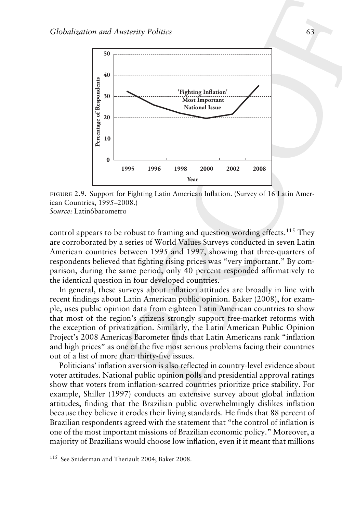

figure 2.9. Support for Fighting Latin American Inflation. (Survey of 16 Latin American Countries, 1995–2008.) *Source:* Latinóbarometro

control appears to be robust to framing and question wording effects.<sup>115</sup> They are corroborated by a series of World Values Surveys conducted in seven Latin American countries between 1995 and 1997, showing that three-quarters of respondents believed that fighting rising prices was "very important." By comparison, during the same period, only 40 percent responded affirmatively to the identical question in four developed countries.

In general, these surveys about inflation attitudes are broadly in line with recent findings about Latin American public opinion. Baker (2008), for example, uses public opinion data from eighteen Latin American countries to show that most of the region's citizens strongly support free-market reforms with the exception of privatization. Similarly, the Latin American Public Opinion Project's 2008 Americas Barometer finds that Latin Americans rank "inflation and high prices" as one of the five most serious problems facing their countries out of a list of more than thirty-five issues.

Politicians' inflation aversion is also reflected in country-level evidence about voter attitudes. National public opinion polls and presidential approval ratings show that voters from inflation-scarred countries prioritize price stability. For example, Shiller (1997) conducts an extensive survey about global inflation attitudes, finding that the Brazilian public overwhelmingly dislikes inflation because they believe it erodes their living standards. He finds that 88 percent of Brazilian respondents agreed with the statement that "the control of inflation is one of the most important missions of Brazilian economic policy." Moreover, a majority of Brazilians would choose low inflation, even if it meant that millions

<sup>115</sup> See Sniderman and Theriault 2004; Baker 2008.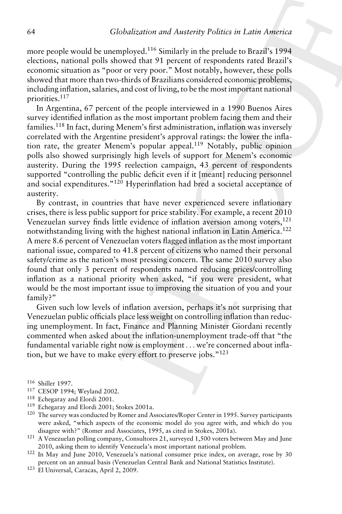more people would be unemployed.<sup>116</sup> Similarly in the prelude to Brazil's 1994 elections, national polls showed that 91 percent of respondents rated Brazil's economic situation as "poor or very poor." Most notably, however, these polls showed that more than two-thirds of Brazilians considered economic problems, including inflation, salaries, and cost of living, to be the most important national priorities.<sup>117</sup>

In Argentina, 67 percent of the people interviewed in a 1990 Buenos Aires survey identified inflation as the most important problem facing them and their families.<sup>118</sup> In fact, during Menem's first administration, inflation was inversely correlated with the Argentine president's approval ratings: the lower the inflation rate, the greater Menem's popular appeal.<sup>119</sup> Notably, public opinion polls also showed surprisingly high levels of support for Menem's economic austerity. During the 1995 reelection campaign, 43 percent of respondents supported "controlling the public deficit even if it [meant] reducing personnel and social expenditures."<sup>120</sup> Hyperinflation had bred a societal acceptance of austerity.

By contrast, in countries that have never experienced severe inflationary crises, there is less public support for price stability. For example, a recent 2010 Venezuelan survey finds little evidence of inflation aversion among voters,  $121$ notwithstanding living with the highest national inflation in Latin America.<sup>122</sup> A mere 8.6 percent of Venezuelan voters flagged inflation as the most important national issue, compared to 41.8 percent of citizens who named their personal safety/crime as the nation's most pressing concern. The same 2010 survey also found that only 3 percent of respondents named reducing prices/controlling inflation as a national priority when asked, "if you were president, what would be the most important issue to improving the situation of you and your family?"

Given such low levels of inflation aversion, perhaps it's not surprising that Venezuelan public officials place less weight on controlling inflation than reducing unemployment. In fact, Finance and Planning Minister Giordani recently commented when asked about the inflation-unemployment trade-off that "the fundamental variable right now is employment... we're concerned about inflation, but we have to make every effort to preserve jobs." $123$ 

<sup>116</sup> Shiller 1997.

- <sup>117</sup> CESOP 1994; Weyland 2002.
- <sup>118</sup> Echegaray and Elordi 2001.
- <sup>119</sup> Echegaray and Elordi 2001; Stokes 2001a.
- <sup>120</sup> The survey was conducted by Romer and Associates/Roper Center in 1995. Survey participants were asked, "which aspects of the economic model do you agree with, and which do you disagree with?" (Romer and Associates, 1995, as cited in Stokes, 2001a).
- <sup>121</sup> A Venezuelan polling company, Consultores 21, surveyed 1,500 voters between May and June 2010, asking them to identify Venezuela's most important national problem.
- <sup>122</sup> In May and June 2010, Venezuela's national consumer price index, on average, rose by 30 percent on an annual basis (Venezuelan Central Bank and National Statistics Institute).
- <sup>123</sup> El Universal, Caracas, April 2, 2009.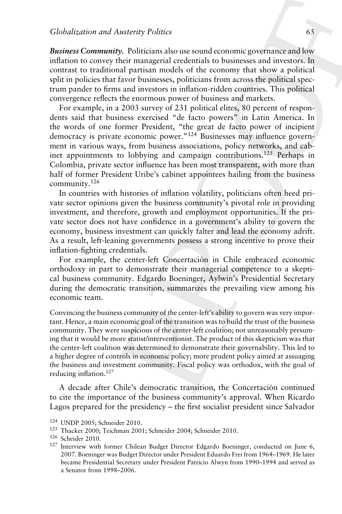*Business Community.* Politicians also use sound economic governance and low inflation to convey their managerial credentials to businesses and investors. In contrast to traditional partisan models of the economy that show a political split in policies that favor businesses, politicians from across the political spectrum pander to firms and investors in inflation-ridden countries. This political convergence reflects the enormous power of business and markets.

For example, in a 2003 survey of 231 political elites, 80 percent of respondents said that business exercised "de facto powers" in Latin America. In the words of one former President, "the great de facto power of incipient democracy is private economic power."124 Businesses may influence government in various ways, from business associations, policy networks, and cabinet appointments to lobbying and campaign contributions.<sup>125</sup> Perhaps in Colombia, private sector influence has been most transparent, with more than half of former President Uribe's cabinet appointees hailing from the business community.<sup>126</sup>

In countries with histories of inflation volatility, politicians often heed private sector opinions given the business community's pivotal role in providing investment, and therefore, growth and employment opportunities. If the private sector does not have confidence in a government's ability to govern the economy, business investment can quickly falter and lead the economy adrift. As a result, left-leaning governments possess a strong incentive to prove their inflation-fighting credentials.

For example, the center-left Concertación in Chile embraced economic orthodoxy in part to demonstrate their managerial competence to a skeptical business community. Edgardo Boeninger, Aylwin's Presidential Secretary during the democratic transition, summarizes the prevailing view among his economic team.

Convincing the business community of the center-left's ability to govern was very important. Hence, a main economic goal of the transition was to build the trust of the business community. They were suspicious of the center-left coalition; not unreasonably presuming that it would be more statist/interventionist. The product of this skepticism was that the center-left coalition was determined to demonstrate their governability. This led to a higher degree of controls in economic policy; more prudent policy aimed at assuaging the business and investment community. Fiscal policy was orthodox, with the goal of reducing inflation.<sup>127</sup>

A decade after Chile's democratic transition, the Concertación continued to cite the importance of the business community's approval. When Ricardo Lagos prepared for the presidency – the first socialist president since Salvador

<sup>124</sup> UNDP 2005; Schneider 2010.

<sup>125</sup> Thacker 2000; Teichman 2001; Schneider 2004; Schneider 2010.

<sup>126</sup> Scheider 2010.

<sup>&</sup>lt;sup>127</sup> Interview with former Chilean Budget Director Edgardo Boeninger, conducted on June 6, 2007. Boeninger was Budget Director under President Eduardo Frei from 1964–1969. He later became Presidential Secretary under President Patricio Alwyn from 1990–1994 and served as a Senator from 1998–2006.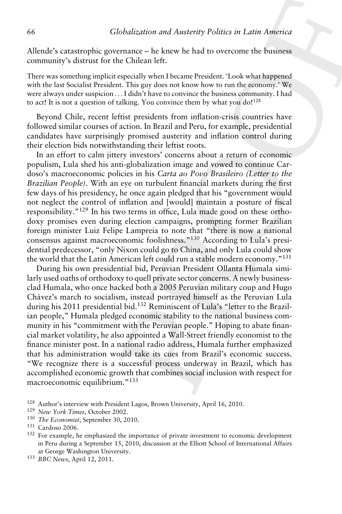Allende's catastrophic governance – he knew he had to overcome the business community's distrust for the Chilean left.

There was something implicit especially when I became President. 'Look what happened with the last Socialist President. This guy does not know how to run the economy.' We were always under suspicion ... I didn't have to convince the business community. I had to act! It is not a question of talking. You convince them by what you do!<sup>128</sup>

Beyond Chile, recent leftist presidents from inflation-crisis countries have followed similar courses of action. In Brazil and Peru, for example, presidential candidates have surprisingly promised austerity and inflation control during their election bids notwithstanding their leftist roots.

In an effort to calm jittery investors' concerns about a return of economic populism, Lula shed his anti-globalization image and vowed to continue Cardoso's macroeconomic policies in his *Carta ao Povo Brasileiro (Letter to the Brazilian People)*. With an eye on turbulent financial markets during the first few days of his presidency, he once again pledged that his "government would not neglect the control of inflation and [would] maintain a posture of fiscal responsibility."129 In his two terms in office, Lula made good on these orthodoxy promises even during election campaigns, prompting former Brazilian foreign minister Luiz Felipe Lampreia to note that "there is now a national consensus against macroeconomic foolishness."130 According to Lula's presidential predecessor, "only Nixon could go to China, and only Lula could show the world that the Latin American left could run a stable modern economy."<sup>131</sup>

During his own presidential bid, Peruvian President Ollanta Humala similarly used oaths of orthodoxy to quell private sector concerns. A newly businessclad Humala, who once backed both a 2005 Peruvian military coup and Hugo Chavez's march to socialism, instead portrayed himself as the Peruvian Lula ´ during his 2011 presidential bid.<sup>132</sup> Reminiscent of Lula's "letter to the Brazilian people," Humala pledged economic stability to the national business community in his "commitment with the Peruvian people." Hoping to abate financial market volatility, he also appointed a Wall-Street friendly economist to the finance minister post. In a national radio address, Humala further emphasized that his administration would take its cues from Brazil's economic success. "We recognize there is a successful process underway in Brazil, which has accomplished economic growth that combines social inclusion with respect for macroeconomic equilibrium."<sup>133</sup>

<sup>128</sup> Author's interview with President Lagos, Brown University, April 16, 2010.

<sup>129</sup> *New York Times*, October 2002.

<sup>130</sup> *The Economist*, September 30, 2010.

<sup>131</sup> Cardoso 2006.

<sup>&</sup>lt;sup>132</sup> For example, he emphasized the importance of private investment to economic development in Peru during a September 15, 2010, discussion at the Elliott School of International Affairs at George Washington University.

<sup>133</sup> *BBC News*, April 12, 2011.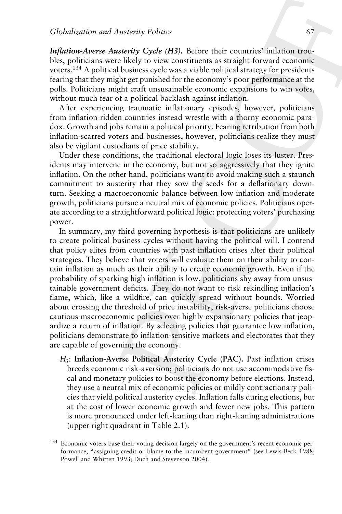*Inflation-Averse Austerity Cycle (H3).* Before their countries' inflation troubles, politicians were likely to view constituents as straight-forward economic voters.<sup>134</sup> A political business cycle was a viable political strategy for presidents fearing that they might get punished for the economy's poor performance at the polls. Politicians might craft unsusainable economic expansions to win votes, without much fear of a political backlash against inflation.

After experiencing traumatic inflationary episodes, however, politicians from inflation-ridden countries instead wrestle with a thorny economic paradox. Growth and jobs remain a political priority. Fearing retribution from both inflation-scarred voters and businesses, however, politicians realize they must also be vigilant custodians of price stability.

Under these conditions, the traditional electoral logic loses its luster. Presidents may intervene in the economy, but not so aggressively that they ignite inflation. On the other hand, politicians want to avoid making such a staunch commitment to austerity that they sow the seeds for a deflationary downturn. Seeking a macroeconomic balance between low inflation and moderate growth, politicians pursue a neutral mix of economic policies. Politicians operate according to a straightforward political logic: protecting voters' purchasing power.

In summary, my third governing hypothesis is that politicians are unlikely to create political business cycles without having the political will. I contend that policy elites from countries with past inflation crises alter their political strategies. They believe that voters will evaluate them on their ability to contain inflation as much as their ability to create economic growth. Even if the probability of sparking high inflation is low, politicians shy away from unsustainable government deficits. They do not want to risk rekindling inflation's flame, which, like a wildfire, can quickly spread without bounds. Worried about crossing the threshold of price instability, risk-averse politicians choose cautious macroeconomic policies over highly expansionary policies that jeopardize a return of inflation. By selecting policies that guarantee low inflation, politicians demonstrate to inflation-sensitive markets and electorates that they are capable of governing the economy.

*H*3: **Inflation-Averse Political Austerity Cycle (PAC).** Past inflation crises breeds economic risk-aversion; politicians do not use accommodative fiscal and monetary policies to boost the economy before elections. Instead, they use a neutral mix of economic policies or mildly contractionary policies that yield political austerity cycles. Inflation falls during elections, but at the cost of lower economic growth and fewer new jobs. This pattern is more pronounced under left-leaning than right-leaning administrations (upper right quadrant in Table 2.1).

<sup>&</sup>lt;sup>134</sup> Economic voters base their voting decision largely on the government's recent economic performance, "assigning credit or blame to the incumbent government" (see Lewis-Beck 1988; Powell and Whitten 1993; Duch and Stevenson 2004).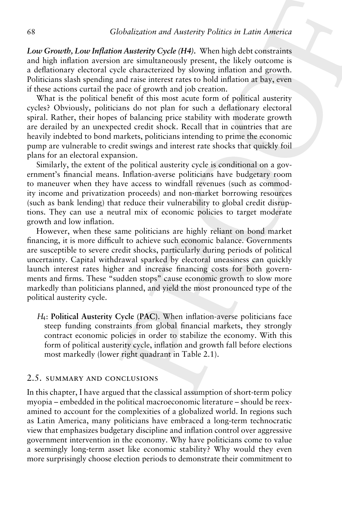*Low Growth, Low Inflation Austerity Cycle (H4).* When high debt constraints and high inflation aversion are simultaneously present, the likely outcome is a deflationary electoral cycle characterized by slowing inflation and growth. Politicians slash spending and raise interest rates to hold inflation at bay, even if these actions curtail the pace of growth and job creation.

What is the political benefit of this most acute form of political austerity cycles? Obviously, politicians do not plan for such a deflationary electoral spiral. Rather, their hopes of balancing price stability with moderate growth are derailed by an unexpected credit shock. Recall that in countries that are heavily indebted to bond markets, politicians intending to prime the economic pump are vulnerable to credit swings and interest rate shocks that quickly foil plans for an electoral expansion.

Similarly, the extent of the political austerity cycle is conditional on a government's financial means. Inflation-averse politicians have budgetary room to maneuver when they have access to windfall revenues (such as commodity income and privatization proceeds) and non-market borrowing resources (such as bank lending) that reduce their vulnerability to global credit disruptions. They can use a neutral mix of economic policies to target moderate growth and low inflation.

However, when these same politicians are highly reliant on bond market financing, it is more difficult to achieve such economic balance. Governments are susceptible to severe credit shocks, particularly during periods of political uncertainty. Capital withdrawal sparked by electoral uneasiness can quickly launch interest rates higher and increase financing costs for both governments and firms. These "sudden stops" cause economic growth to slow more markedly than politicians planned, and yield the most pronounced type of the political austerity cycle.

*H*4: **Political Austerity Cycle (PAC)**. When inflation-averse politicians face steep funding constraints from global financial markets, they strongly contract economic policies in order to stabilize the economy. With this form of political austerity cycle, inflation and growth fall before elections most markedly (lower right quadrant in Table 2.1).

# 2.5. summary and conclusions

In this chapter, I have argued that the classical assumption of short-term policy myopia – embedded in the political macroeconomic literature – should be reexamined to account for the complexities of a globalized world. In regions such as Latin America, many politicians have embraced a long-term technocratic view that emphasizes budgetary discipline and inflation control over aggressive government intervention in the economy. Why have politicians come to value a seemingly long-term asset like economic stability? Why would they even more surprisingly choose election periods to demonstrate their commitment to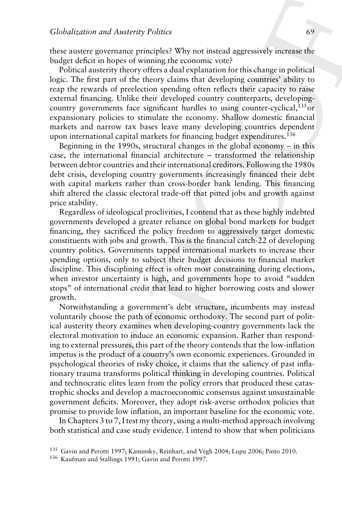these austere governance principles? Why not instead aggressively increase the budget deficit in hopes of winning the economic vote?

Political austerity theory offers a dual explanation for this change in political logic. The first part of the theory claims that developing countries' ability to reap the rewards of preelection spending often reflects their capacity to raise external financing. Unlike their developed country counterparts, developingcountry governments face significant hurdles to using counter-cyclical,<sup>135</sup>or expansionary policies to stimulate the economy. Shallow domestic financial markets and narrow tax bases leave many developing countries dependent upon international capital markets for financing budget expenditures.<sup>136</sup>

Beginning in the 1990s, structural changes in the global economy – in this case, the international financial architecture – transformed the relationship between debtor countries and their international creditors. Following the 1980s debt crisis, developing country governments increasingly financed their debt with capital markets rather than cross-border bank lending. This financing shift altered the classic electoral trade-off that pitted jobs and growth against price stability.

Regardless of ideological proclivities, I contend that as these highly indebted governments developed a greater reliance on global bond markets for budget financing, they sacrificed the policy freedom to aggressively target domestic constituents with jobs and growth. This is the financial catch-22 of developing country politics. Governments tapped international markets to increase their spending options, only to subject their budget decisions to financial market discipline. This disciplining effect is often most constraining during elections, when investor uncertainty is high, and governments hope to avoid "sudden stops" of international credit that lead to higher borrowing costs and slower growth.

Notwithstanding a government's debt structure, incumbents may instead voluntarily choose the path of economic orthodoxy. The second part of political austerity theory examines when developing-country governments lack the electoral motivation to induce an economic expansion. Rather than responding to external pressures, this part of the theory contends that the low-inflation impetus is the product of a country's own economic experiences. Grounded in psychological theories of risky choice, it claims that the saliency of past inflationary trauma transforms political thinking in developing countries. Political and technocratic elites learn from the policy errors that produced these catastrophic shocks and develop a macroeconomic consensus against unsustainable government deficits. Moreover, they adopt risk-averse orthodox policies that promise to provide low inflation, an important baseline for the economic vote.

In Chapters 3 to 7, I test my theory, using a multi-method approach involving both statistical and case study evidence. I intend to show that when politicians

 $135$  Gavin and Perotti 1997; Kaminsky, Reinhart, and Végh 2004; Lupu 2006; Pinto 2010.

<sup>136</sup> Kaufman and Stallings 1991; Gavin and Perotti 1997.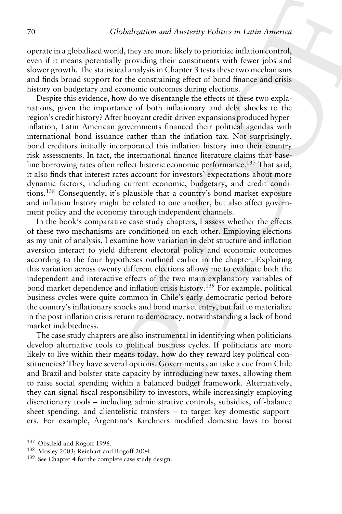operate in a globalized world, they are more likely to prioritize inflation control, even if it means potentially providing their constituents with fewer jobs and slower growth. The statistical analysis in Chapter 3 tests these two mechanisms and finds broad support for the constraining effect of bond finance and crisis history on budgetary and economic outcomes during elections.

Despite this evidence, how do we disentangle the effects of these two explanations, given the importance of both inflationary and debt shocks to the region's credit history? After buoyant credit-driven expansions produced hyperinflation, Latin American governments financed their political agendas with international bond issuance rather than the inflation tax. Not surprisingly, bond creditors initially incorporated this inflation history into their country risk assessments. In fact, the international finance literature claims that baseline borrowing rates often reflect historic economic performance.<sup>137</sup> That said, it also finds that interest rates account for investors' expectations about more dynamic factors, including current economic, budgetary, and credit conditions.<sup>138</sup> Consequently, it's plausible that a country's bond market exposure and inflation history might be related to one another, but also affect government policy and the economy through independent channels.

In the book's comparative case study chapters, I assess whether the effects of these two mechanisms are conditioned on each other. Employing elections as my unit of analysis, I examine how variation in debt structure and inflation aversion interact to yield different electoral policy and economic outcomes according to the four hypotheses outlined earlier in the chapter. Exploiting this variation across twenty different elections allows me to evaluate both the independent and interactive effects of the two main explanatory variables of bond market dependence and inflation crisis history.<sup>139</sup> For example, political business cycles were quite common in Chile's early democratic period before the country's inflationary shocks and bond market entry, but fail to materialize in the post-inflation crisis return to democracy, notwithstanding a lack of bond market indebtedness.

The case study chapters are also instrumental in identifying when politicians develop alternative tools to political business cycles. If politicians are more likely to live within their means today, how do they reward key political constituencies? They have several options. Governments can take a cue from Chile and Brazil and bolster state capacity by introducing new taxes, allowing them to raise social spending within a balanced budget framework. Alternatively, they can signal fiscal responsibility to investors, while increasingly employing discretionary tools – including administrative controls, subsidies, off-balance sheet spending, and clientelistic transfers – to target key domestic supporters. For example, Argentina's Kirchners modified domestic laws to boost

<sup>137</sup> Obstfeld and Rogoff 1996.

<sup>138</sup> Mosley 2003; Reinhart and Rogoff 2004.

<sup>&</sup>lt;sup>139</sup> See Chapter 4 for the complete case study design.